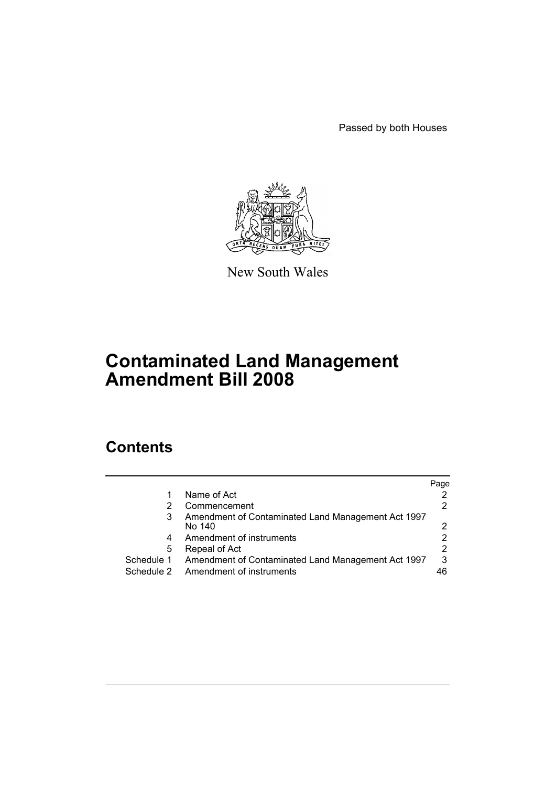Passed by both Houses



New South Wales

# **Contaminated Land Management Amendment Bill 2008**

# **Contents**

|            |                                                    | Page |
|------------|----------------------------------------------------|------|
|            | Name of Act                                        |      |
| 2          | Commencement                                       |      |
| 3          | Amendment of Contaminated Land Management Act 1997 |      |
|            | No 140                                             | າ    |
| 4          | Amendment of instruments                           |      |
| 5          | Repeal of Act                                      |      |
| Schedule 1 | Amendment of Contaminated Land Management Act 1997 | 3    |
| Schedule 2 | Amendment of instruments                           |      |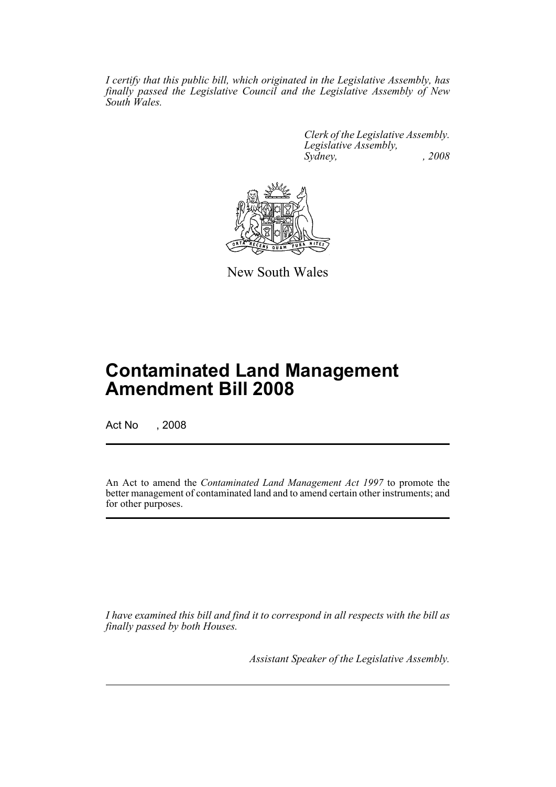*I certify that this public bill, which originated in the Legislative Assembly, has finally passed the Legislative Council and the Legislative Assembly of New South Wales.*

> *Clerk of the Legislative Assembly. Legislative Assembly, Sydney, , 2008*



New South Wales

# **Contaminated Land Management Amendment Bill 2008**

Act No , 2008

An Act to amend the *Contaminated Land Management Act 1997* to promote the better management of contaminated land and to amend certain other instruments; and for other purposes.

*I have examined this bill and find it to correspond in all respects with the bill as finally passed by both Houses.*

*Assistant Speaker of the Legislative Assembly.*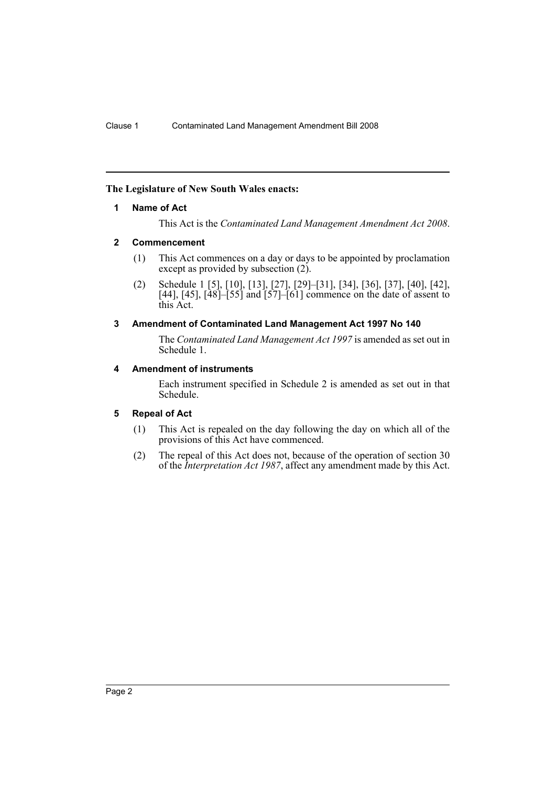## <span id="page-2-0"></span>**The Legislature of New South Wales enacts:**

## **1 Name of Act**

This Act is the *Contaminated Land Management Amendment Act 2008*.

## <span id="page-2-1"></span>**2 Commencement**

- (1) This Act commences on a day or days to be appointed by proclamation except as provided by subsection (2).
- (2) Schedule 1 [5], [10], [13], [27], [29]–[31], [34], [36], [37], [40], [42], [44], [45],  $[48]$ – $[55]$  and  $[57]$ – $[61]$  commence on the date of assent to this Act.

## <span id="page-2-2"></span>**3 Amendment of Contaminated Land Management Act 1997 No 140**

The *Contaminated Land Management Act 1997* is amended as set out in Schedule 1.

## <span id="page-2-3"></span>**4 Amendment of instruments**

Each instrument specified in Schedule 2 is amended as set out in that Schedule.

## <span id="page-2-4"></span>**5 Repeal of Act**

- (1) This Act is repealed on the day following the day on which all of the provisions of this Act have commenced.
- (2) The repeal of this Act does not, because of the operation of section 30 of the *Interpretation Act 1987*, affect any amendment made by this Act.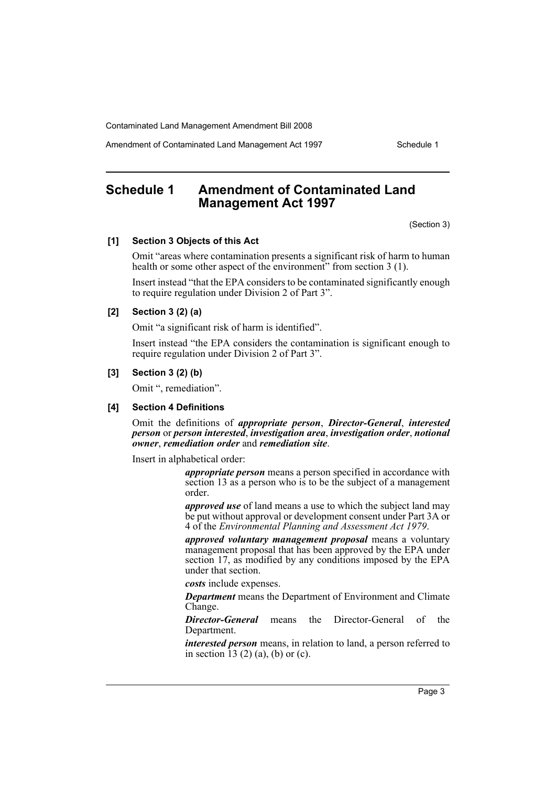Amendment of Contaminated Land Management Act 1997 Schedule 1

# <span id="page-3-0"></span>**Schedule 1 Amendment of Contaminated Land Management Act 1997**

(Section 3)

#### **[1] Section 3 Objects of this Act**

Omit "areas where contamination presents a significant risk of harm to human health or some other aspect of the environment" from section 3 (1).

Insert instead "that the EPA considers to be contaminated significantly enough to require regulation under Division 2 of Part 3".

## **[2] Section 3 (2) (a)**

Omit "a significant risk of harm is identified".

Insert instead "the EPA considers the contamination is significant enough to require regulation under Division 2 of Part 3".

## **[3] Section 3 (2) (b)**

Omit ", remediation".

## **[4] Section 4 Definitions**

Omit the definitions of *appropriate person*, *Director-General*, *interested person* or *person interested*, *investigation area*, *investigation order*, *notional owner*, *remediation order* and *remediation site*.

Insert in alphabetical order:

*appropriate person* means a person specified in accordance with section 13 as a person who is to be the subject of a management order.

*approved use* of land means a use to which the subject land may be put without approval or development consent under Part 3A or 4 of the *Environmental Planning and Assessment Act 1979*.

*approved voluntary management proposal* means a voluntary management proposal that has been approved by the EPA under section 17, as modified by any conditions imposed by the EPA under that section.

*costs* include expenses.

*Department* means the Department of Environment and Climate Change.

*Director-General* means the Director-General of the Department.

*interested person* means, in relation to land, a person referred to in section  $13(2)(a)$ , (b) or (c).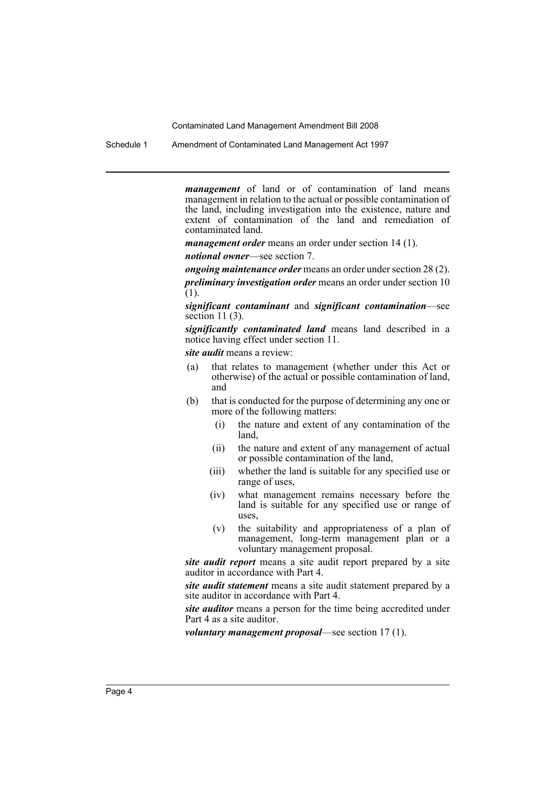Schedule 1 Amendment of Contaminated Land Management Act 1997

*management* of land or of contamination of land means management in relation to the actual or possible contamination of the land, including investigation into the existence, nature and extent of contamination of the land and remediation of contaminated land.

*management order* means an order under section 14 (1).

*notional owner*—see section 7.

*ongoing maintenance order* means an order under section 28 (2).

*preliminary investigation order* means an order under section 10 (1).

*significant contaminant* and *significant contamination*—see section 11 (3).

*significantly contaminated land* means land described in a notice having effect under section 11.

*site audit* means a review:

- (a) that relates to management (whether under this Act or otherwise) of the actual or possible contamination of land, and
- (b) that is conducted for the purpose of determining any one or more of the following matters:
	- (i) the nature and extent of any contamination of the land,
	- (ii) the nature and extent of any management of actual or possible contamination of the land,
	- (iii) whether the land is suitable for any specified use or range of uses,
	- (iv) what management remains necessary before the land is suitable for any specified use or range of uses,
	- (v) the suitability and appropriateness of a plan of management, long-term management plan or a voluntary management proposal.

*site audit report* means a site audit report prepared by a site auditor in accordance with Part 4.

*site audit statement* means a site audit statement prepared by a site auditor in accordance with Part 4.

*site auditor* means a person for the time being accredited under Part 4 as a site auditor.

*voluntary management proposal*—see section 17 (1).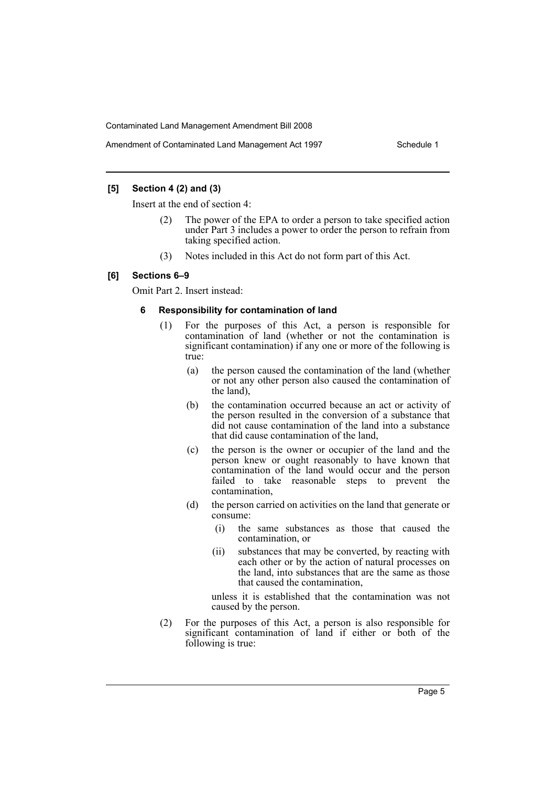## **[5] Section 4 (2) and (3)**

Insert at the end of section 4:

- The power of the EPA to order a person to take specified action under Part 3 includes a power to order the person to refrain from taking specified action.
- (3) Notes included in this Act do not form part of this Act.

#### **[6] Sections 6–9**

Omit Part 2. Insert instead:

#### **6 Responsibility for contamination of land**

- (1) For the purposes of this Act, a person is responsible for contamination of land (whether or not the contamination is significant contamination) if any one or more of the following is true:
	- (a) the person caused the contamination of the land (whether or not any other person also caused the contamination of the land),
	- (b) the contamination occurred because an act or activity of the person resulted in the conversion of a substance that did not cause contamination of the land into a substance that did cause contamination of the land,
	- (c) the person is the owner or occupier of the land and the person knew or ought reasonably to have known that contamination of the land would occur and the person failed to take reasonable steps to prevent the contamination,
	- (d) the person carried on activities on the land that generate or consume:
		- (i) the same substances as those that caused the contamination, or
		- (ii) substances that may be converted, by reacting with each other or by the action of natural processes on the land, into substances that are the same as those that caused the contamination,

unless it is established that the contamination was not caused by the person.

(2) For the purposes of this Act, a person is also responsible for significant contamination of land if either or both of the following is true: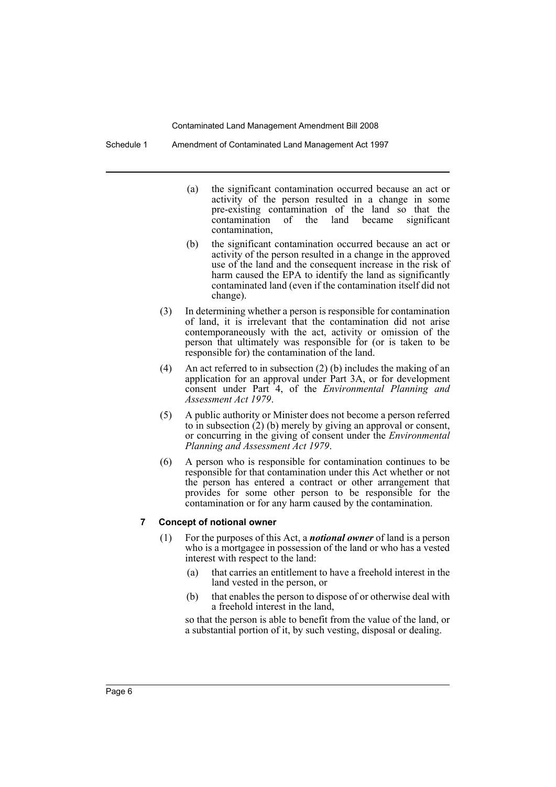Schedule 1 Amendment of Contaminated Land Management Act 1997

- (a) the significant contamination occurred because an act or activity of the person resulted in a change in some pre-existing contamination of the land so that the contamination of the land became significant contamination,
- (b) the significant contamination occurred because an act or activity of the person resulted in a change in the approved use of the land and the consequent increase in the risk of harm caused the EPA to identify the land as significantly contaminated land (even if the contamination itself did not change).
- (3) In determining whether a person is responsible for contamination of land, it is irrelevant that the contamination did not arise contemporaneously with the act, activity or omission of the person that ultimately was responsible for (or is taken to be responsible for) the contamination of the land.
- (4) An act referred to in subsection  $(2)$  (b) includes the making of an application for an approval under Part 3A, or for development consent under Part 4, of the *Environmental Planning and Assessment Act 1979*.
- (5) A public authority or Minister does not become a person referred to in subsection (2) (b) merely by giving an approval or consent, or concurring in the giving of consent under the *Environmental Planning and Assessment Act 1979*.
- (6) A person who is responsible for contamination continues to be responsible for that contamination under this Act whether or not the person has entered a contract or other arrangement that provides for some other person to be responsible for the contamination or for any harm caused by the contamination.

## **7 Concept of notional owner**

- (1) For the purposes of this Act, a *notional owner* of land is a person who is a mortgagee in possession of the land or who has a vested interest with respect to the land:
	- (a) that carries an entitlement to have a freehold interest in the land vested in the person, or
	- (b) that enables the person to dispose of or otherwise deal with a freehold interest in the land,

so that the person is able to benefit from the value of the land, or a substantial portion of it, by such vesting, disposal or dealing.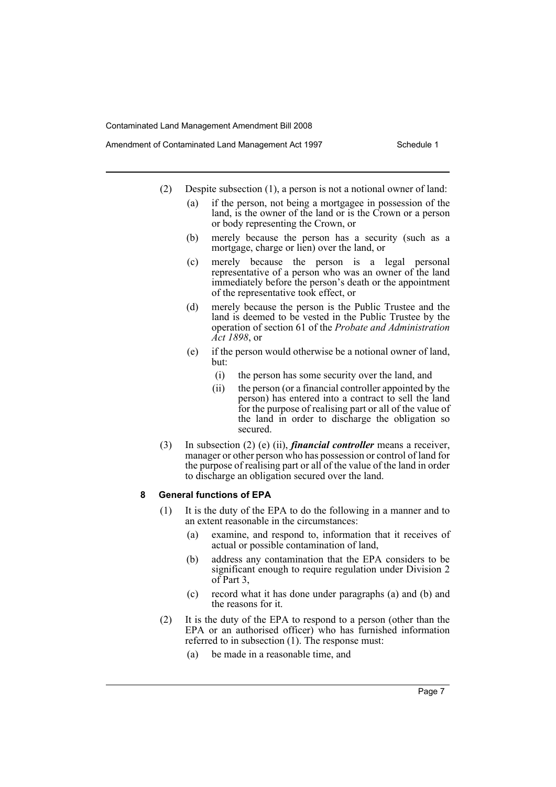- Amendment of Contaminated Land Management Act 1997 Schedule 1
	- (2) Despite subsection (1), a person is not a notional owner of land:
		- (a) if the person, not being a mortgagee in possession of the land, is the owner of the land or is the Crown or a person or body representing the Crown, or
		- (b) merely because the person has a security (such as a mortgage, charge or lien) over the land, or
		- (c) merely because the person is a legal personal representative of a person who was an owner of the land immediately before the person's death or the appointment of the representative took effect, or
		- (d) merely because the person is the Public Trustee and the land is deemed to be vested in the Public Trustee by the operation of section 61 of the *Probate and Administration Act 1898*, or
		- (e) if the person would otherwise be a notional owner of land, but:
			- (i) the person has some security over the land, and
			- (ii) the person (or a financial controller appointed by the person) has entered into a contract to sell the land for the purpose of realising part or all of the value of the land in order to discharge the obligation so secured.
	- (3) In subsection (2) (e) (ii), *financial controller* means a receiver, manager or other person who has possession or control of land for the purpose of realising part or all of the value of the land in order to discharge an obligation secured over the land.

#### **8 General functions of EPA**

- (1) It is the duty of the EPA to do the following in a manner and to an extent reasonable in the circumstances:
	- (a) examine, and respond to, information that it receives of actual or possible contamination of land,
	- (b) address any contamination that the EPA considers to be significant enough to require regulation under Division 2 of Part 3,
	- (c) record what it has done under paragraphs (a) and (b) and the reasons for it.
- (2) It is the duty of the EPA to respond to a person (other than the EPA or an authorised officer) who has furnished information referred to in subsection (1). The response must:
	- (a) be made in a reasonable time, and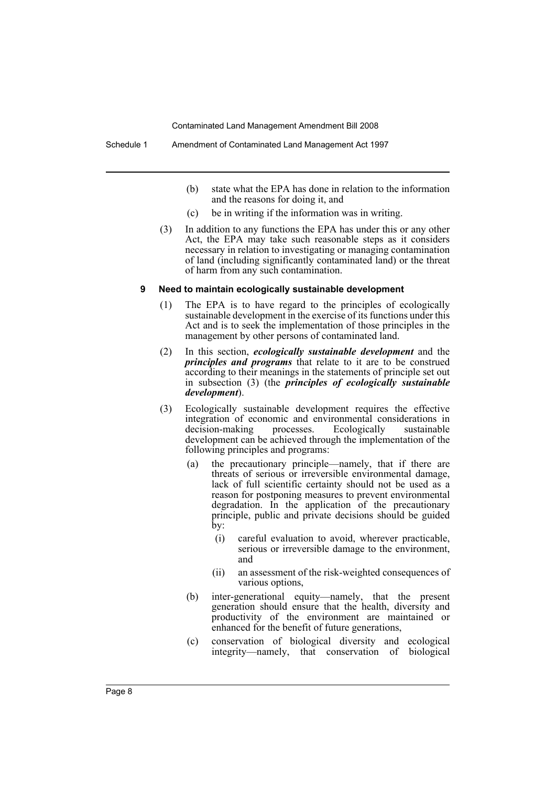- (b) state what the EPA has done in relation to the information and the reasons for doing it, and
- (c) be in writing if the information was in writing.
- (3) In addition to any functions the EPA has under this or any other Act, the EPA may take such reasonable steps as it considers necessary in relation to investigating or managing contamination of land (including significantly contaminated land) or the threat of harm from any such contamination.

#### **9 Need to maintain ecologically sustainable development**

- (1) The EPA is to have regard to the principles of ecologically sustainable development in the exercise of its functions under this Act and is to seek the implementation of those principles in the management by other persons of contaminated land.
- (2) In this section, *ecologically sustainable development* and the *principles and programs* that relate to it are to be construed according to their meanings in the statements of principle set out in subsection (3) (the *principles of ecologically sustainable development*).
- (3) Ecologically sustainable development requires the effective integration of economic and environmental considerations in decision-making processes. Ecologically sustainable development can be achieved through the implementation of the following principles and programs:
	- (a) the precautionary principle—namely, that if there are threats of serious or irreversible environmental damage, lack of full scientific certainty should not be used as a reason for postponing measures to prevent environmental degradation. In the application of the precautionary principle, public and private decisions should be guided by:
		- (i) careful evaluation to avoid, wherever practicable, serious or irreversible damage to the environment, and
		- (ii) an assessment of the risk-weighted consequences of various options,
	- (b) inter-generational equity—namely, that the present generation should ensure that the health, diversity and productivity of the environment are maintained or enhanced for the benefit of future generations,
	- (c) conservation of biological diversity and ecological integrity—namely, that conservation of biological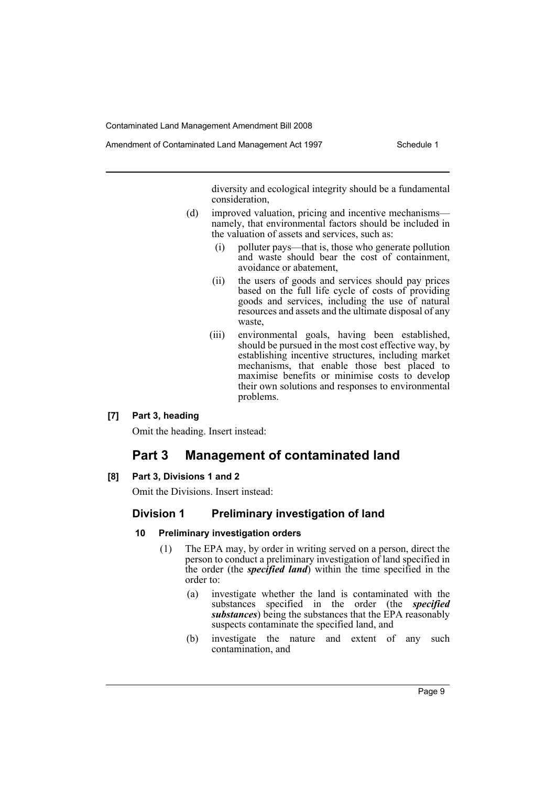diversity and ecological integrity should be a fundamental consideration,

- (d) improved valuation, pricing and incentive mechanisms namely, that environmental factors should be included in the valuation of assets and services, such as:
	- (i) polluter pays—that is, those who generate pollution and waste should bear the cost of containment, avoidance or abatement,
	- (ii) the users of goods and services should pay prices based on the full life cycle of costs of providing goods and services, including the use of natural resources and assets and the ultimate disposal of any waste,
	- (iii) environmental goals, having been established, should be pursued in the most cost effective way, by establishing incentive structures, including market mechanisms, that enable those best placed to maximise benefits or minimise costs to develop their own solutions and responses to environmental problems.

## **[7] Part 3, heading**

Omit the heading. Insert instead:

# **Part 3 Management of contaminated land**

## **[8] Part 3, Divisions 1 and 2**

Omit the Divisions. Insert instead:

## **Division 1 Preliminary investigation of land**

## **10 Preliminary investigation orders**

- (1) The EPA may, by order in writing served on a person, direct the person to conduct a preliminary investigation of land specified in the order (the *specified land*) within the time specified in the order to:
	- (a) investigate whether the land is contaminated with the substances specified in the order (the *specified substances*) being the substances that the EPA reasonably suspects contaminate the specified land, and
	- (b) investigate the nature and extent of any such contamination, and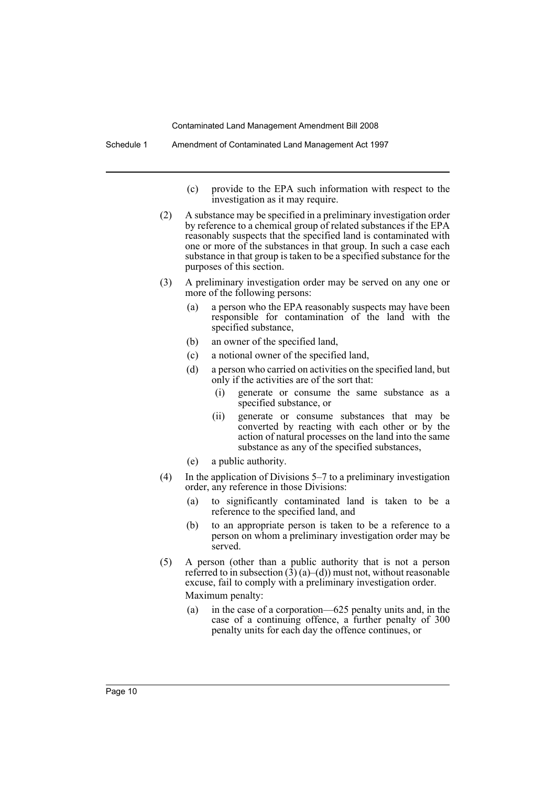- (c) provide to the EPA such information with respect to the investigation as it may require.
- (2) A substance may be specified in a preliminary investigation order by reference to a chemical group of related substances if the EPA reasonably suspects that the specified land is contaminated with one or more of the substances in that group. In such a case each substance in that group is taken to be a specified substance for the purposes of this section.
- (3) A preliminary investigation order may be served on any one or more of the following persons:
	- (a) a person who the EPA reasonably suspects may have been responsible for contamination of the land with the specified substance,
	- (b) an owner of the specified land,
	- (c) a notional owner of the specified land,
	- (d) a person who carried on activities on the specified land, but only if the activities are of the sort that:
		- (i) generate or consume the same substance as a specified substance, or
		- (ii) generate or consume substances that may be converted by reacting with each other or by the action of natural processes on the land into the same substance as any of the specified substances,
	- (e) a public authority.
- (4) In the application of Divisions 5–7 to a preliminary investigation order, any reference in those Divisions:
	- (a) to significantly contaminated land is taken to be a reference to the specified land, and
	- (b) to an appropriate person is taken to be a reference to a person on whom a preliminary investigation order may be served.
- (5) A person (other than a public authority that is not a person referred to in subsection  $(3)$  (a)–(d)) must not, without reasonable excuse, fail to comply with a preliminary investigation order. Maximum penalty:
	- (a) in the case of a corporation—625 penalty units and, in the case of a continuing offence, a further penalty of 300 penalty units for each day the offence continues, or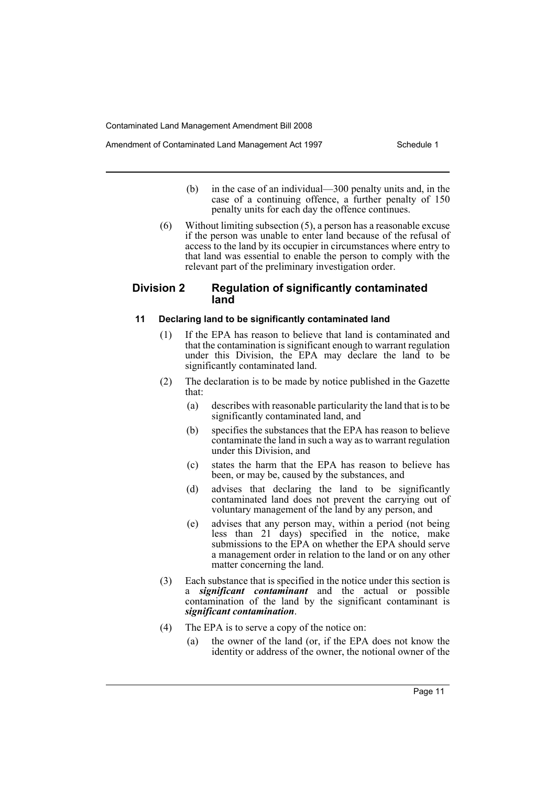- (b) in the case of an individual—300 penalty units and, in the case of a continuing offence, a further penalty of 150 penalty units for each day the offence continues.
- (6) Without limiting subsection (5), a person has a reasonable excuse if the person was unable to enter land because of the refusal of access to the land by its occupier in circumstances where entry to that land was essential to enable the person to comply with the relevant part of the preliminary investigation order.

## **Division 2 Regulation of significantly contaminated land**

#### **11 Declaring land to be significantly contaminated land**

- (1) If the EPA has reason to believe that land is contaminated and that the contamination is significant enough to warrant regulation under this Division, the EPA may declare the land to be significantly contaminated land.
- (2) The declaration is to be made by notice published in the Gazette that:
	- (a) describes with reasonable particularity the land that is to be significantly contaminated land, and
	- (b) specifies the substances that the EPA has reason to believe contaminate the land in such a way as to warrant regulation under this Division, and
	- (c) states the harm that the EPA has reason to believe has been, or may be, caused by the substances, and
	- (d) advises that declaring the land to be significantly contaminated land does not prevent the carrying out of voluntary management of the land by any person, and
	- (e) advises that any person may, within a period (not being less than 21 days) specified in the notice, make submissions to the EPA on whether the EPA should serve a management order in relation to the land or on any other matter concerning the land.
- (3) Each substance that is specified in the notice under this section is a *significant contaminant* and the actual or possible contamination of the land by the significant contaminant is *significant contamination*.
- (4) The EPA is to serve a copy of the notice on:
	- (a) the owner of the land (or, if the EPA does not know the identity or address of the owner, the notional owner of the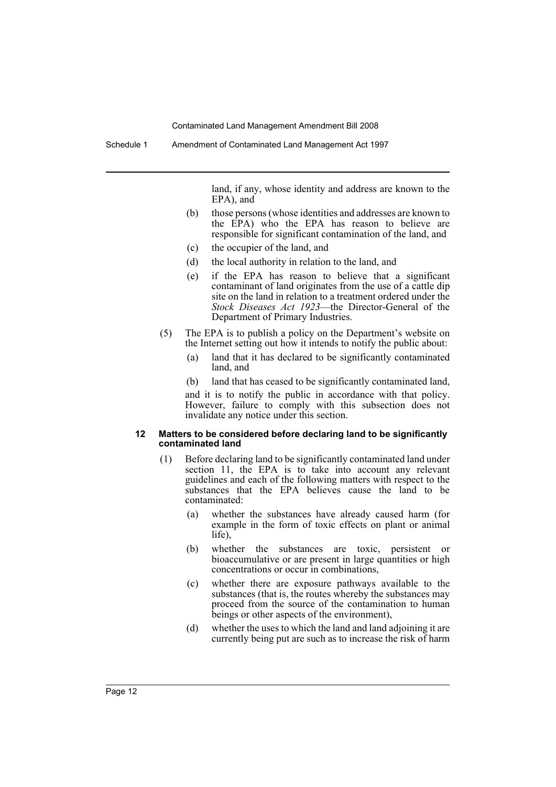land, if any, whose identity and address are known to the EPA), and

- (b) those persons (whose identities and addresses are known to the EPA) who the EPA has reason to believe are responsible for significant contamination of the land, and
- (c) the occupier of the land, and
- (d) the local authority in relation to the land, and
- (e) if the EPA has reason to believe that a significant contaminant of land originates from the use of a cattle dip site on the land in relation to a treatment ordered under the *Stock Diseases Act 1923*—the Director-General of the Department of Primary Industries.
- (5) The EPA is to publish a policy on the Department's website on the Internet setting out how it intends to notify the public about:
	- (a) land that it has declared to be significantly contaminated land, and
	- (b) land that has ceased to be significantly contaminated land,

and it is to notify the public in accordance with that policy. However, failure to comply with this subsection does not invalidate any notice under this section.

#### **12 Matters to be considered before declaring land to be significantly contaminated land**

- (1) Before declaring land to be significantly contaminated land under section 11, the EPA is to take into account any relevant guidelines and each of the following matters with respect to the substances that the EPA believes cause the land to be contaminated:
	- (a) whether the substances have already caused harm (for example in the form of toxic effects on plant or animal life),
	- (b) whether the substances are toxic, persistent or bioaccumulative or are present in large quantities or high concentrations or occur in combinations,
	- (c) whether there are exposure pathways available to the substances (that is, the routes whereby the substances may proceed from the source of the contamination to human beings or other aspects of the environment),
	- (d) whether the uses to which the land and land adjoining it are currently being put are such as to increase the risk of harm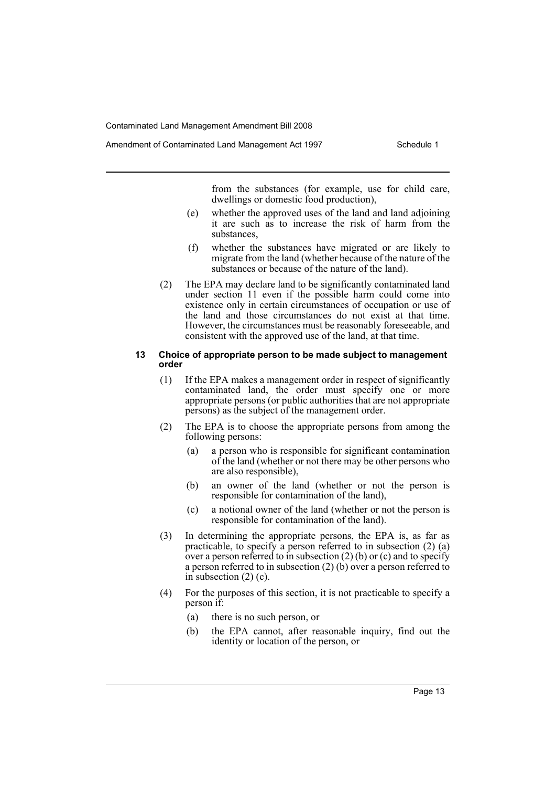from the substances (for example, use for child care, dwellings or domestic food production),

- (e) whether the approved uses of the land and land adjoining it are such as to increase the risk of harm from the substances,
- (f) whether the substances have migrated or are likely to migrate from the land (whether because of the nature of the substances or because of the nature of the land).
- (2) The EPA may declare land to be significantly contaminated land under section 11 even if the possible harm could come into existence only in certain circumstances of occupation or use of the land and those circumstances do not exist at that time. However, the circumstances must be reasonably foreseeable, and consistent with the approved use of the land, at that time.

#### **13 Choice of appropriate person to be made subject to management order**

- (1) If the EPA makes a management order in respect of significantly contaminated land, the order must specify one or more appropriate persons (or public authorities that are not appropriate persons) as the subject of the management order.
- (2) The EPA is to choose the appropriate persons from among the following persons:
	- (a) a person who is responsible for significant contamination of the land (whether or not there may be other persons who are also responsible),
	- (b) an owner of the land (whether or not the person is responsible for contamination of the land),
	- (c) a notional owner of the land (whether or not the person is responsible for contamination of the land).
- (3) In determining the appropriate persons, the EPA is, as far as practicable, to specify a person referred to in subsection  $(2)$   $(a)$ over a person referred to in subsection  $(2)$  (b) or (c) and to specify a person referred to in subsection (2) (b) over a person referred to in subsection  $(2)$  (c).
- (4) For the purposes of this section, it is not practicable to specify a person if:
	- (a) there is no such person, or
	- (b) the EPA cannot, after reasonable inquiry, find out the identity or location of the person, or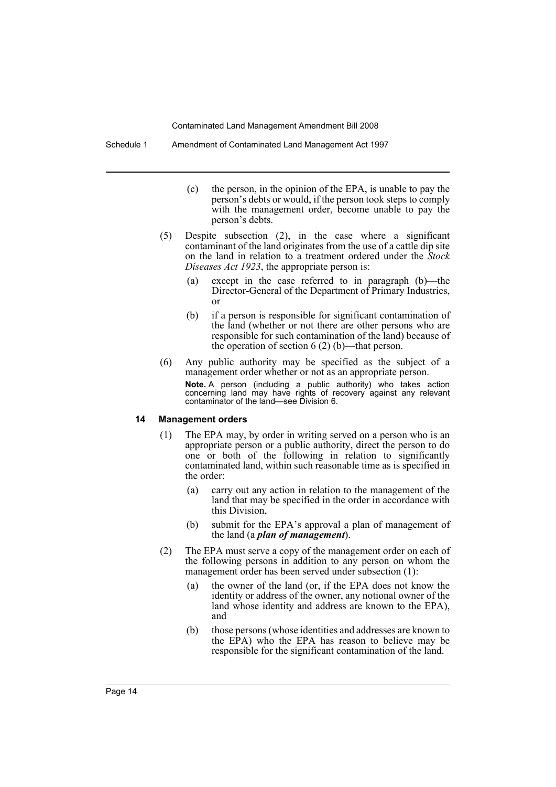Schedule 1 Amendment of Contaminated Land Management Act 1997

- (c) the person, in the opinion of the EPA, is unable to pay the person's debts or would, if the person took steps to comply with the management order, become unable to pay the person's debts.
- (5) Despite subsection (2), in the case where a significant contaminant of the land originates from the use of a cattle dip site on the land in relation to a treatment ordered under the *Stock Diseases Act 1923*, the appropriate person is:
	- (a) except in the case referred to in paragraph (b)—the Director-General of the Department of Primary Industries, or
	- (b) if a person is responsible for significant contamination of the land (whether or not there are other persons who are responsible for such contamination of the land) because of the operation of section 6 (2) (b)—that person.
- (6) Any public authority may be specified as the subject of a management order whether or not as an appropriate person.

**Note.** A person (including a public authority) who takes action concerning land may have rights of recovery against any relevant contaminator of the land—see Division 6.

#### **14 Management orders**

- (1) The EPA may, by order in writing served on a person who is an appropriate person or a public authority, direct the person to do one or both of the following in relation to significantly contaminated land, within such reasonable time as is specified in the order:
	- (a) carry out any action in relation to the management of the land that may be specified in the order in accordance with this Division,
	- (b) submit for the EPA's approval a plan of management of the land (a *plan of management*).
- (2) The EPA must serve a copy of the management order on each of the following persons in addition to any person on whom the management order has been served under subsection (1):
	- (a) the owner of the land (or, if the EPA does not know the identity or address of the owner, any notional owner of the land whose identity and address are known to the EPA), and
	- (b) those persons (whose identities and addresses are known to the EPA) who the EPA has reason to believe may be responsible for the significant contamination of the land.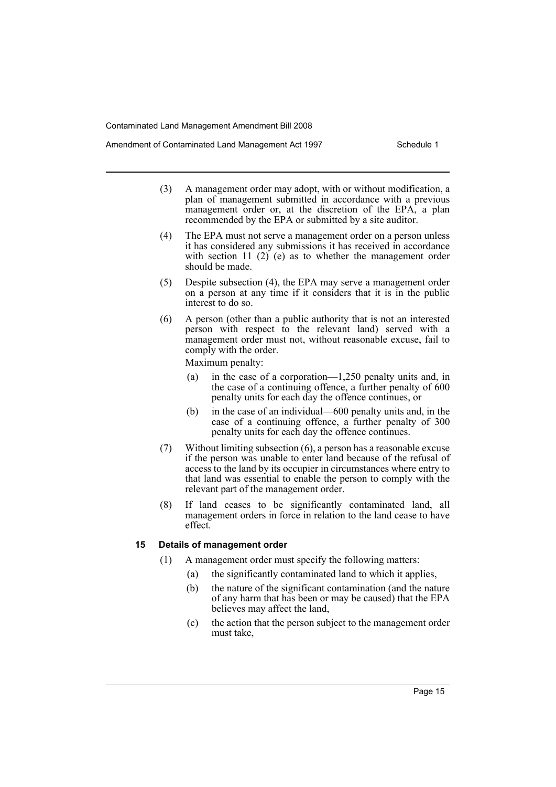- (3) A management order may adopt, with or without modification, a plan of management submitted in accordance with a previous management order or, at the discretion of the EPA, a plan recommended by the EPA or submitted by a site auditor.
- (4) The EPA must not serve a management order on a person unless it has considered any submissions it has received in accordance with section 11  $(2)$  (e) as to whether the management order should be made.
- (5) Despite subsection (4), the EPA may serve a management order on a person at any time if it considers that it is in the public interest to do so.
- (6) A person (other than a public authority that is not an interested person with respect to the relevant land) served with a management order must not, without reasonable excuse, fail to comply with the order.

Maximum penalty:

- (a) in the case of a corporation—1,250 penalty units and, in the case of a continuing offence, a further penalty of 600 penalty units for each day the offence continues, or
- (b) in the case of an individual—600 penalty units and, in the case of a continuing offence, a further penalty of 300 penalty units for each day the offence continues.
- (7) Without limiting subsection (6), a person has a reasonable excuse if the person was unable to enter land because of the refusal of access to the land by its occupier in circumstances where entry to that land was essential to enable the person to comply with the relevant part of the management order.
- (8) If land ceases to be significantly contaminated land, all management orders in force in relation to the land cease to have effect.

#### **15 Details of management order**

- (1) A management order must specify the following matters:
	- (a) the significantly contaminated land to which it applies,
	- (b) the nature of the significant contamination (and the nature of any harm that has been or may be caused) that the EPA believes may affect the land,
	- (c) the action that the person subject to the management order must take,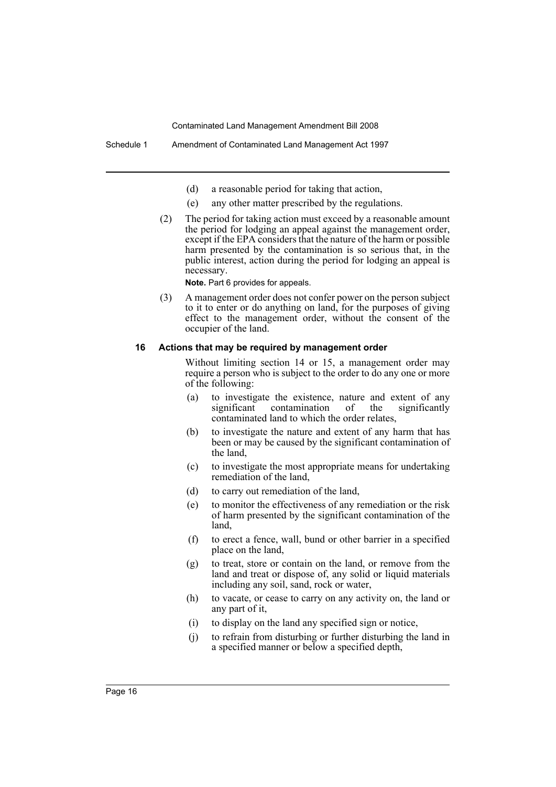- (d) a reasonable period for taking that action,
- (e) any other matter prescribed by the regulations.
- (2) The period for taking action must exceed by a reasonable amount the period for lodging an appeal against the management order, except if the EPA considers that the nature of the harm or possible harm presented by the contamination is so serious that, in the public interest, action during the period for lodging an appeal is necessary.

**Note.** Part 6 provides for appeals.

(3) A management order does not confer power on the person subject to it to enter or do anything on land, for the purposes of giving effect to the management order, without the consent of the occupier of the land.

#### **16 Actions that may be required by management order**

Without limiting section 14 or 15, a management order may require a person who is subject to the order to do any one or more of the following:

- (a) to investigate the existence, nature and extent of any significant contamination of the significantly contaminated land to which the order relates,
- (b) to investigate the nature and extent of any harm that has been or may be caused by the significant contamination of the land,
- (c) to investigate the most appropriate means for undertaking remediation of the land,
- (d) to carry out remediation of the land,
- (e) to monitor the effectiveness of any remediation or the risk of harm presented by the significant contamination of the land,
- (f) to erect a fence, wall, bund or other barrier in a specified place on the land,
- (g) to treat, store or contain on the land, or remove from the land and treat or dispose of, any solid or liquid materials including any soil, sand, rock or water,
- (h) to vacate, or cease to carry on any activity on, the land or any part of it,
- (i) to display on the land any specified sign or notice,
- (j) to refrain from disturbing or further disturbing the land in a specified manner or below a specified depth,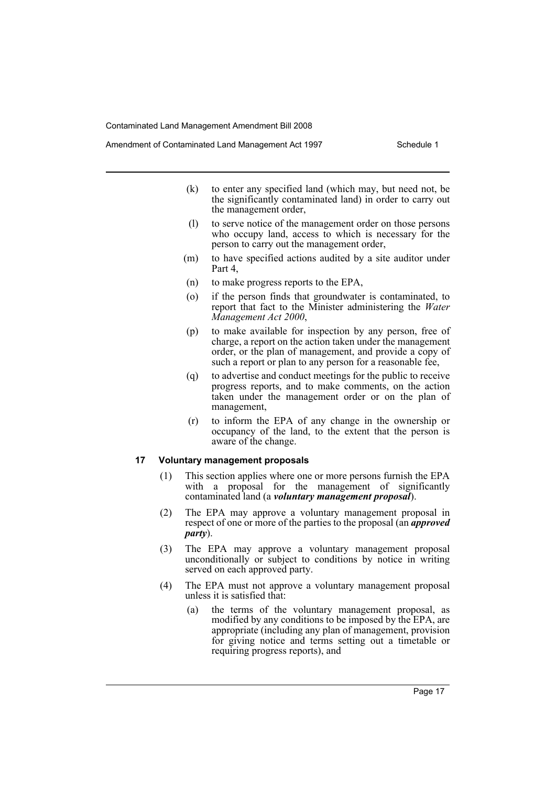- (k) to enter any specified land (which may, but need not, be the significantly contaminated land) in order to carry out the management order,
- (l) to serve notice of the management order on those persons who occupy land, access to which is necessary for the person to carry out the management order,
- (m) to have specified actions audited by a site auditor under Part 4,
- (n) to make progress reports to the EPA,
- (o) if the person finds that groundwater is contaminated, to report that fact to the Minister administering the *Water Management Act 2000*,
- (p) to make available for inspection by any person, free of charge, a report on the action taken under the management order, or the plan of management, and provide a copy of such a report or plan to any person for a reasonable fee,
- (q) to advertise and conduct meetings for the public to receive progress reports, and to make comments, on the action taken under the management order or on the plan of management,
- (r) to inform the EPA of any change in the ownership or occupancy of the land, to the extent that the person is aware of the change.

#### **17 Voluntary management proposals**

- (1) This section applies where one or more persons furnish the EPA with a proposal for the management of significantly contaminated land (a *voluntary management proposal*).
- (2) The EPA may approve a voluntary management proposal in respect of one or more of the parties to the proposal (an *approved party*).
- (3) The EPA may approve a voluntary management proposal unconditionally or subject to conditions by notice in writing served on each approved party.
- (4) The EPA must not approve a voluntary management proposal unless it is satisfied that:
	- (a) the terms of the voluntary management proposal, as modified by any conditions to be imposed by the EPA, are appropriate (including any plan of management, provision for giving notice and terms setting out a timetable or requiring progress reports), and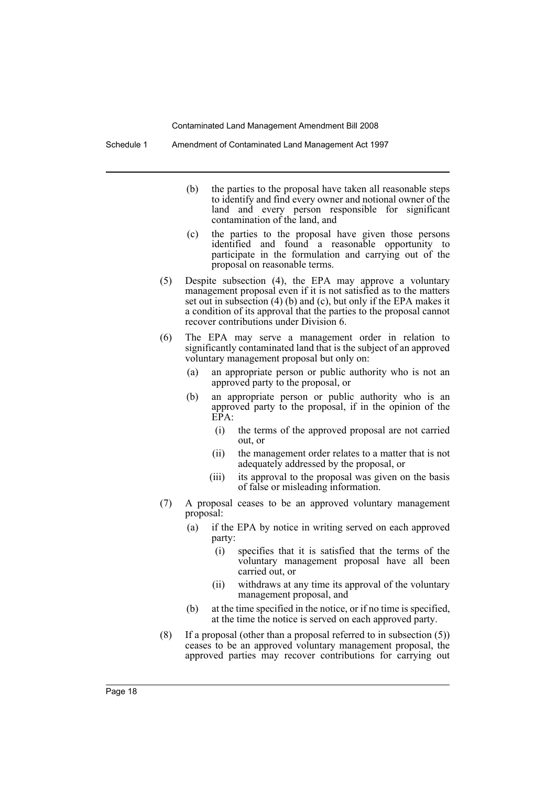Schedule 1 Amendment of Contaminated Land Management Act 1997

- (b) the parties to the proposal have taken all reasonable steps to identify and find every owner and notional owner of the land and every person responsible for significant contamination of the land, and
- (c) the parties to the proposal have given those persons identified and found a reasonable opportunity to participate in the formulation and carrying out of the proposal on reasonable terms.
- (5) Despite subsection (4), the EPA may approve a voluntary management proposal even if it is not satisfied as to the matters set out in subsection (4) (b) and (c), but only if the EPA makes it a condition of its approval that the parties to the proposal cannot recover contributions under Division 6.
- (6) The EPA may serve a management order in relation to significantly contaminated land that is the subject of an approved voluntary management proposal but only on:
	- (a) an appropriate person or public authority who is not an approved party to the proposal, or
	- (b) an appropriate person or public authority who is an approved party to the proposal, if in the opinion of the EPA:
		- (i) the terms of the approved proposal are not carried out, or
		- (ii) the management order relates to a matter that is not adequately addressed by the proposal, or
		- (iii) its approval to the proposal was given on the basis of false or misleading information.
- (7) A proposal ceases to be an approved voluntary management proposal:
	- (a) if the EPA by notice in writing served on each approved party:
		- (i) specifies that it is satisfied that the terms of the voluntary management proposal have all been carried out, or
		- (ii) withdraws at any time its approval of the voluntary management proposal, and
	- (b) at the time specified in the notice, or if no time is specified, at the time the notice is served on each approved party.
- (8) If a proposal (other than a proposal referred to in subsection (5)) ceases to be an approved voluntary management proposal, the approved parties may recover contributions for carrying out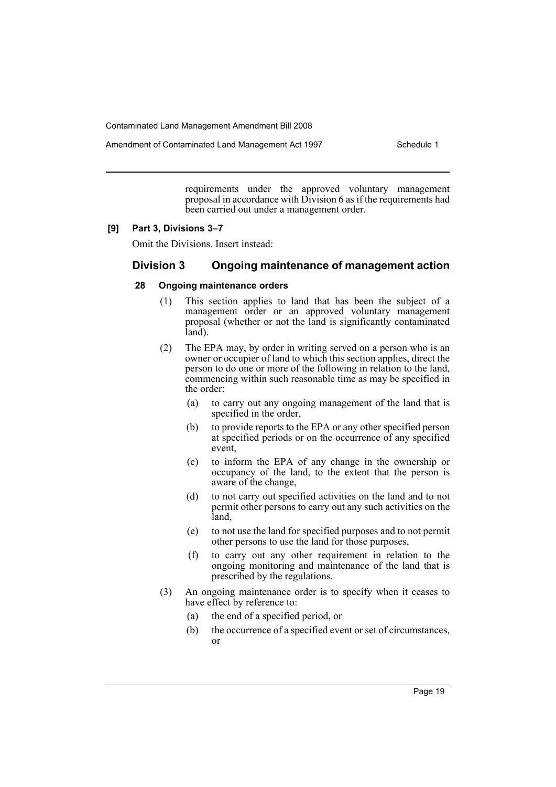Amendment of Contaminated Land Management Act 1997 Schedule 1

requirements under the approved voluntary management proposal in accordance with Division 6 as if the requirements had been carried out under a management order.

#### **[9] Part 3, Divisions 3–7**

Omit the Divisions. Insert instead:

## **Division 3 Ongoing maintenance of management action**

#### **28 Ongoing maintenance orders**

- (1) This section applies to land that has been the subject of a management order or an approved voluntary management proposal (whether or not the land is significantly contaminated land).
- (2) The EPA may, by order in writing served on a person who is an owner or occupier of land to which this section applies, direct the person to do one or more of the following in relation to the land, commencing within such reasonable time as may be specified in the order:
	- (a) to carry out any ongoing management of the land that is specified in the order,
	- (b) to provide reports to the EPA or any other specified person at specified periods or on the occurrence of any specified event,
	- (c) to inform the EPA of any change in the ownership or occupancy of the land, to the extent that the person is aware of the change,
	- (d) to not carry out specified activities on the land and to not permit other persons to carry out any such activities on the land,
	- (e) to not use the land for specified purposes and to not permit other persons to use the land for those purposes,
	- (f) to carry out any other requirement in relation to the ongoing monitoring and maintenance of the land that is prescribed by the regulations.
- (3) An ongoing maintenance order is to specify when it ceases to have effect by reference to:
	- (a) the end of a specified period, or
	- (b) the occurrence of a specified event or set of circumstances, or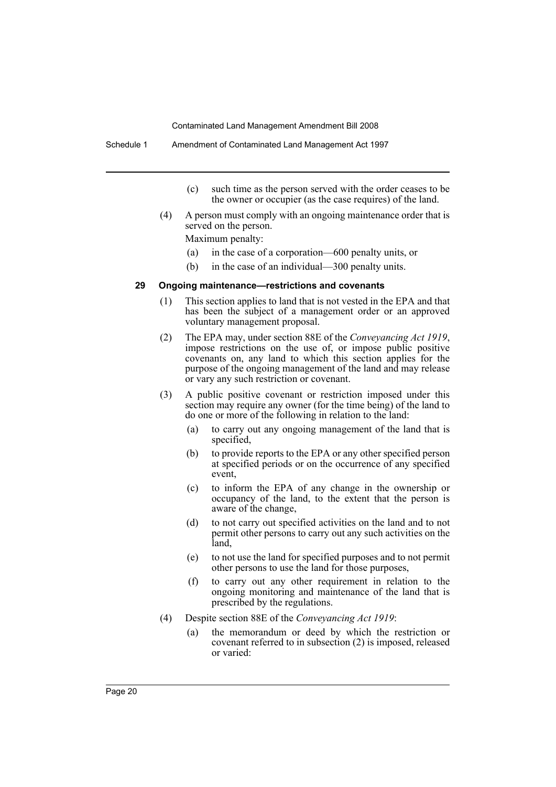- (c) such time as the person served with the order ceases to be the owner or occupier (as the case requires) of the land.
- (4) A person must comply with an ongoing maintenance order that is served on the person.

Maximum penalty:

- (a) in the case of a corporation—600 penalty units, or
- (b) in the case of an individual—300 penalty units.

#### **29 Ongoing maintenance—restrictions and covenants**

- (1) This section applies to land that is not vested in the EPA and that has been the subject of a management order or an approved voluntary management proposal.
- (2) The EPA may, under section 88E of the *Conveyancing Act 1919*, impose restrictions on the use of, or impose public positive covenants on, any land to which this section applies for the purpose of the ongoing management of the land and may release or vary any such restriction or covenant.
- (3) A public positive covenant or restriction imposed under this section may require any owner (for the time being) of the land to do one or more of the following in relation to the land:
	- (a) to carry out any ongoing management of the land that is specified,
	- (b) to provide reports to the EPA or any other specified person at specified periods or on the occurrence of any specified event,
	- (c) to inform the EPA of any change in the ownership or occupancy of the land, to the extent that the person is aware of the change,
	- (d) to not carry out specified activities on the land and to not permit other persons to carry out any such activities on the land,
	- (e) to not use the land for specified purposes and to not permit other persons to use the land for those purposes,
	- (f) to carry out any other requirement in relation to the ongoing monitoring and maintenance of the land that is prescribed by the regulations.
- (4) Despite section 88E of the *Conveyancing Act 1919*:
	- (a) the memorandum or deed by which the restriction or covenant referred to in subsection (2) is imposed, released or varied: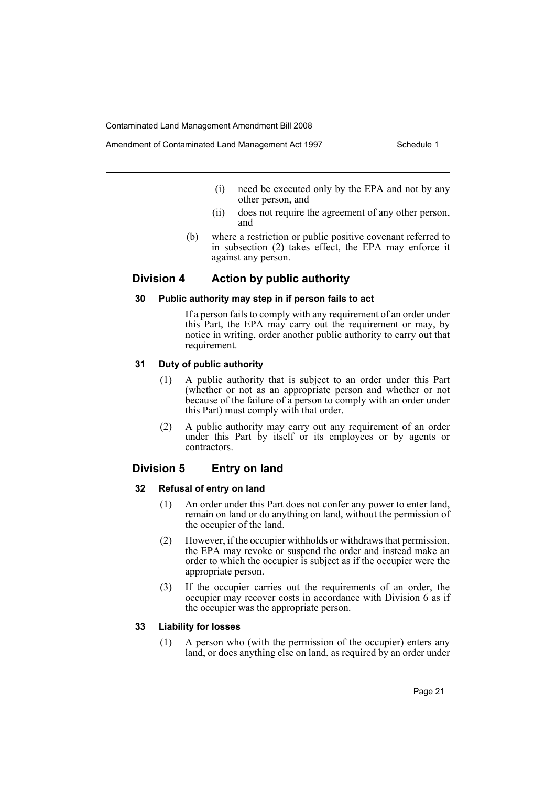- (i) need be executed only by the EPA and not by any other person, and
- (ii) does not require the agreement of any other person, and
- (b) where a restriction or public positive covenant referred to in subsection (2) takes effect, the EPA may enforce it against any person.

## **Division 4 Action by public authority**

## **30 Public authority may step in if person fails to act**

If a person fails to comply with any requirement of an order under this Part, the EPA may carry out the requirement or may, by notice in writing, order another public authority to carry out that requirement.

## **31 Duty of public authority**

- (1) A public authority that is subject to an order under this Part (whether or not as an appropriate person and whether or not because of the failure of a person to comply with an order under this Part) must comply with that order.
- (2) A public authority may carry out any requirement of an order under this Part by itself or its employees or by agents or contractors.

## **Division 5 Entry on land**

#### **32 Refusal of entry on land**

- (1) An order under this Part does not confer any power to enter land, remain on land or do anything on land, without the permission of the occupier of the land.
- (2) However, if the occupier withholds or withdraws that permission, the EPA may revoke or suspend the order and instead make an order to which the occupier is subject as if the occupier were the appropriate person.
- (3) If the occupier carries out the requirements of an order, the occupier may recover costs in accordance with Division 6 as if the occupier was the appropriate person.

#### **33 Liability for losses**

(1) A person who (with the permission of the occupier) enters any land, or does anything else on land, as required by an order under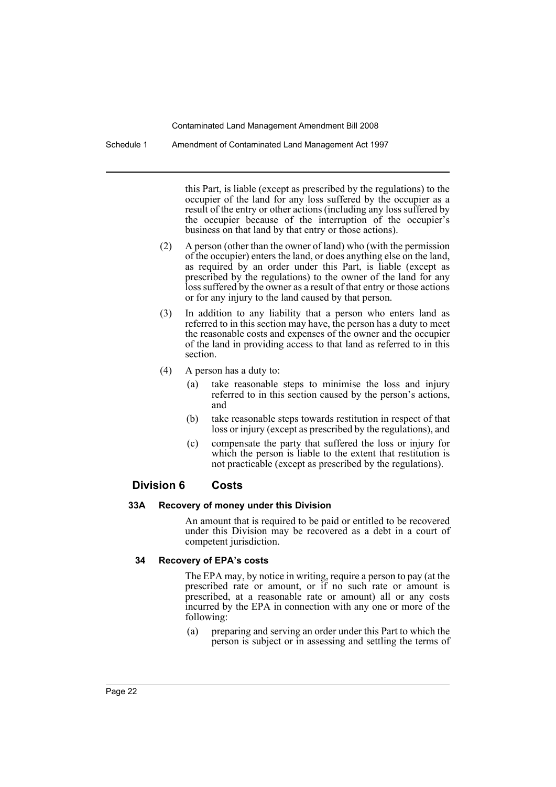Schedule 1 Amendment of Contaminated Land Management Act 1997

this Part, is liable (except as prescribed by the regulations) to the occupier of the land for any loss suffered by the occupier as a result of the entry or other actions (including any loss suffered by the occupier because of the interruption of the occupier's business on that land by that entry or those actions).

- (2) A person (other than the owner of land) who (with the permission of the occupier) enters the land, or does anything else on the land, as required by an order under this Part, is liable (except as prescribed by the regulations) to the owner of the land for any loss suffered by the owner as a result of that entry or those actions or for any injury to the land caused by that person.
- (3) In addition to any liability that a person who enters land as referred to in this section may have, the person has a duty to meet the reasonable costs and expenses of the owner and the occupier of the land in providing access to that land as referred to in this section.
- (4) A person has a duty to:
	- (a) take reasonable steps to minimise the loss and injury referred to in this section caused by the person's actions, and
	- (b) take reasonable steps towards restitution in respect of that loss or injury (except as prescribed by the regulations), and
	- (c) compensate the party that suffered the loss or injury for which the person is liable to the extent that restitution is not practicable (except as prescribed by the regulations).

## **Division 6 Costs**

#### **33A Recovery of money under this Division**

An amount that is required to be paid or entitled to be recovered under this Division may be recovered as a debt in a court of competent jurisdiction.

## **34 Recovery of EPA's costs**

The EPA may, by notice in writing, require a person to pay (at the prescribed rate or amount, or if no such rate or amount is prescribed, at a reasonable rate or amount) all or any costs incurred by the EPA in connection with any one or more of the following:

(a) preparing and serving an order under this Part to which the person is subject or in assessing and settling the terms of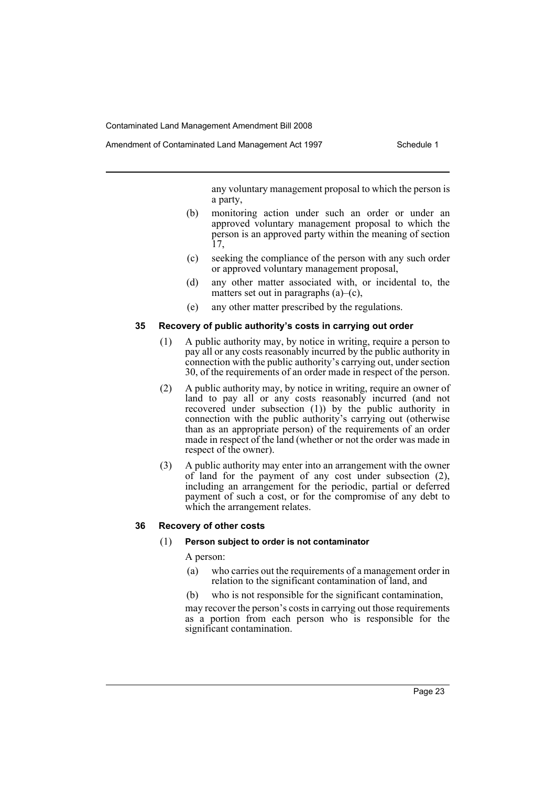Amendment of Contaminated Land Management Act 1997 Schedule 1

any voluntary management proposal to which the person is a party,

- (b) monitoring action under such an order or under an approved voluntary management proposal to which the person is an approved party within the meaning of section 17,
- (c) seeking the compliance of the person with any such order or approved voluntary management proposal,
- (d) any other matter associated with, or incidental to, the matters set out in paragraphs  $(a)$ – $(c)$ ,
- (e) any other matter prescribed by the regulations.

## **35 Recovery of public authority's costs in carrying out order**

- (1) A public authority may, by notice in writing, require a person to pay all or any costs reasonably incurred by the public authority in connection with the public authority's carrying out, under section 30, of the requirements of an order made in respect of the person.
- (2) A public authority may, by notice in writing, require an owner of land to pay all or any costs reasonably incurred (and not recovered under subsection (1)) by the public authority in connection with the public authority's carrying out (otherwise than as an appropriate person) of the requirements of an order made in respect of the land (whether or not the order was made in respect of the owner).
- (3) A public authority may enter into an arrangement with the owner of land for the payment of any cost under subsection (2), including an arrangement for the periodic, partial or deferred payment of such a cost, or for the compromise of any debt to which the arrangement relates.

## **36 Recovery of other costs**

#### (1) **Person subject to order is not contaminator**

A person:

- (a) who carries out the requirements of a management order in relation to the significant contamination of land, and
- (b) who is not responsible for the significant contamination,

may recover the person's costs in carrying out those requirements as a portion from each person who is responsible for the significant contamination.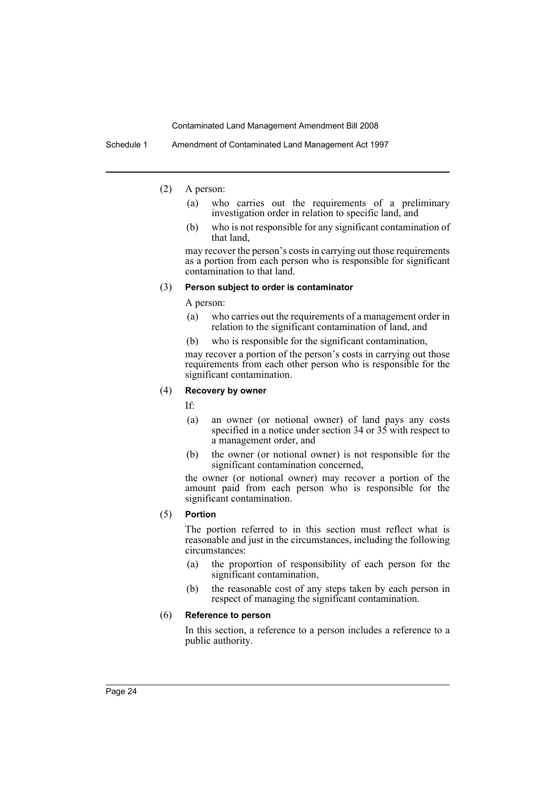Schedule 1 Amendment of Contaminated Land Management Act 1997

- (2) A person:
	- (a) who carries out the requirements of a preliminary investigation order in relation to specific land, and
	- (b) who is not responsible for any significant contamination of that land,

may recover the person's costs in carrying out those requirements as a portion from each person who is responsible for significant contamination to that land.

#### (3) **Person subject to order is contaminator**

A person:

- (a) who carries out the requirements of a management order in relation to the significant contamination of land, and
- (b) who is responsible for the significant contamination,

may recover a portion of the person's costs in carrying out those requirements from each other person who is responsible for the significant contamination.

#### (4) **Recovery by owner**

If:

- (a) an owner (or notional owner) of land pays any costs specified in a notice under section 34 or 35 with respect to a management order, and
- (b) the owner (or notional owner) is not responsible for the significant contamination concerned,

the owner (or notional owner) may recover a portion of the amount paid from each person who is responsible for the significant contamination.

(5) **Portion**

The portion referred to in this section must reflect what is reasonable and just in the circumstances, including the following circumstances:

- (a) the proportion of responsibility of each person for the significant contamination,
- (b) the reasonable cost of any steps taken by each person in respect of managing the significant contamination.

#### (6) **Reference to person**

In this section, a reference to a person includes a reference to a public authority.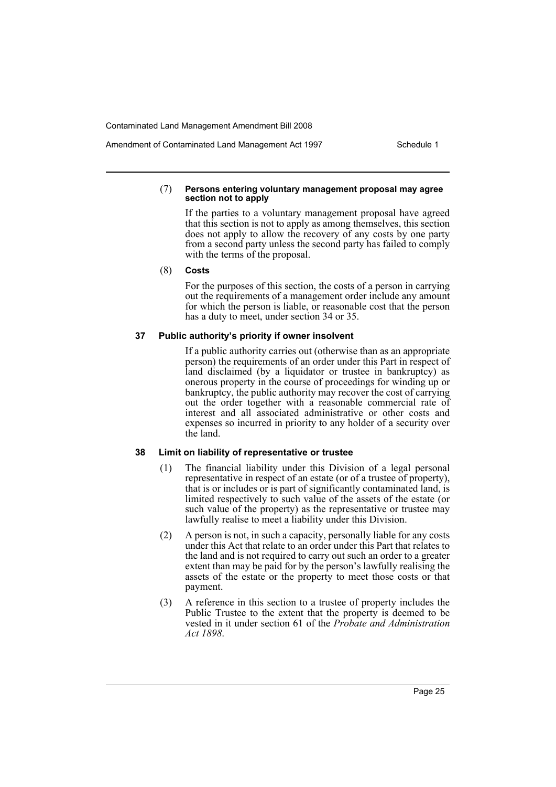#### (7) **Persons entering voluntary management proposal may agree section not to apply**

If the parties to a voluntary management proposal have agreed that this section is not to apply as among themselves, this section does not apply to allow the recovery of any costs by one party from a second party unless the second party has failed to comply with the terms of the proposal.

(8) **Costs**

For the purposes of this section, the costs of a person in carrying out the requirements of a management order include any amount for which the person is liable, or reasonable cost that the person has a duty to meet, under section 34 or 35.

#### **37 Public authority's priority if owner insolvent**

If a public authority carries out (otherwise than as an appropriate person) the requirements of an order under this Part in respect of land disclaimed (by a liquidator or trustee in bankruptcy) as onerous property in the course of proceedings for winding up or bankruptcy, the public authority may recover the cost of carrying out the order together with a reasonable commercial rate of interest and all associated administrative or other costs and expenses so incurred in priority to any holder of a security over the land.

#### **38 Limit on liability of representative or trustee**

- (1) The financial liability under this Division of a legal personal representative in respect of an estate (or of a trustee of property), that is or includes or is part of significantly contaminated land, is limited respectively to such value of the assets of the estate (or such value of the property) as the representative or trustee may lawfully realise to meet a liability under this Division.
- (2) A person is not, in such a capacity, personally liable for any costs under this Act that relate to an order under this Part that relates to the land and is not required to carry out such an order to a greater extent than may be paid for by the person's lawfully realising the assets of the estate or the property to meet those costs or that payment.
- (3) A reference in this section to a trustee of property includes the Public Trustee to the extent that the property is deemed to be vested in it under section 61 of the *Probate and Administration Act 1898*.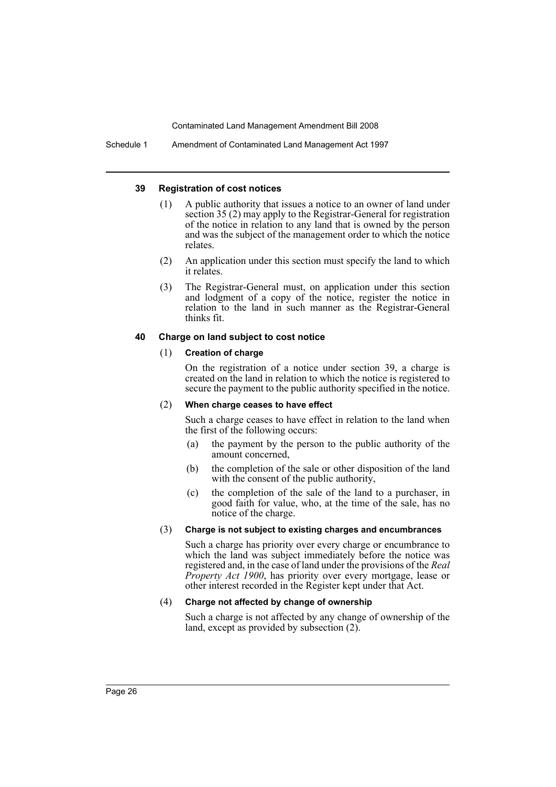Schedule 1 Amendment of Contaminated Land Management Act 1997

#### **39 Registration of cost notices**

- (1) A public authority that issues a notice to an owner of land under section 35 (2) may apply to the Registrar-General for registration of the notice in relation to any land that is owned by the person and was the subject of the management order to which the notice relates.
- (2) An application under this section must specify the land to which it relates.
- (3) The Registrar-General must, on application under this section and lodgment of a copy of the notice, register the notice in relation to the land in such manner as the Registrar-General thinks fit.

#### **40 Charge on land subject to cost notice**

#### (1) **Creation of charge**

On the registration of a notice under section 39, a charge is created on the land in relation to which the notice is registered to secure the payment to the public authority specified in the notice.

#### (2) **When charge ceases to have effect**

Such a charge ceases to have effect in relation to the land when the first of the following occurs:

- (a) the payment by the person to the public authority of the amount concerned,
- (b) the completion of the sale or other disposition of the land with the consent of the public authority,
- (c) the completion of the sale of the land to a purchaser, in good faith for value, who, at the time of the sale, has no notice of the charge.

#### (3) **Charge is not subject to existing charges and encumbrances**

Such a charge has priority over every charge or encumbrance to which the land was subject immediately before the notice was registered and, in the case of land under the provisions of the *Real Property Act 1900*, has priority over every mortgage, lease or other interest recorded in the Register kept under that Act.

## (4) **Charge not affected by change of ownership**

Such a charge is not affected by any change of ownership of the land, except as provided by subsection (2).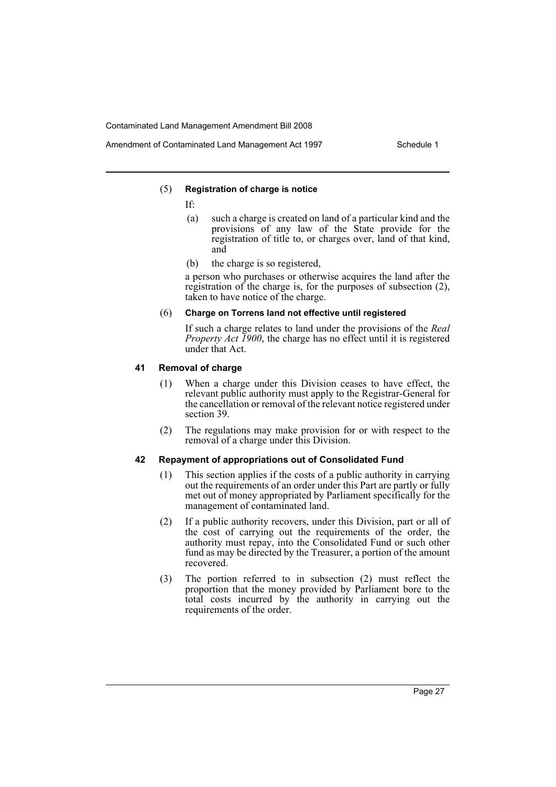#### (5) **Registration of charge is notice**

- If:
	- (a) such a charge is created on land of a particular kind and the provisions of any law of the State provide for the registration of title to, or charges over, land of that kind, and
	- (b) the charge is so registered,

a person who purchases or otherwise acquires the land after the registration of the charge is, for the purposes of subsection (2), taken to have notice of the charge.

## (6) **Charge on Torrens land not effective until registered**

If such a charge relates to land under the provisions of the *Real Property Act 1900*, the charge has no effect until it is registered under that Act.

#### **41 Removal of charge**

- (1) When a charge under this Division ceases to have effect, the relevant public authority must apply to the Registrar-General for the cancellation or removal of the relevant notice registered under section 39.
- (2) The regulations may make provision for or with respect to the removal of a charge under this Division.

#### **42 Repayment of appropriations out of Consolidated Fund**

- (1) This section applies if the costs of a public authority in carrying out the requirements of an order under this Part are partly or fully met out of money appropriated by Parliament specifically for the management of contaminated land.
- (2) If a public authority recovers, under this Division, part or all of the cost of carrying out the requirements of the order, the authority must repay, into the Consolidated Fund or such other fund as may be directed by the Treasurer, a portion of the amount recovered.
- (3) The portion referred to in subsection (2) must reflect the proportion that the money provided by Parliament bore to the total costs incurred by the authority in carrying out the requirements of the order.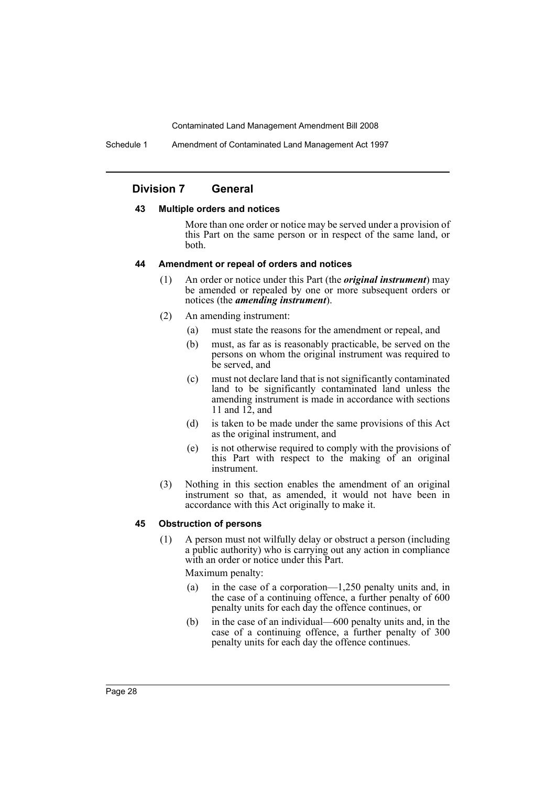Schedule 1 Amendment of Contaminated Land Management Act 1997

## **Division 7 General**

#### **43 Multiple orders and notices**

More than one order or notice may be served under a provision of this Part on the same person or in respect of the same land, or both.

#### **44 Amendment or repeal of orders and notices**

- (1) An order or notice under this Part (the *original instrument*) may be amended or repealed by one or more subsequent orders or notices (the *amending instrument*).
- (2) An amending instrument:
	- (a) must state the reasons for the amendment or repeal, and
	- (b) must, as far as is reasonably practicable, be served on the persons on whom the original instrument was required to be served, and
	- (c) must not declare land that is not significantly contaminated land to be significantly contaminated land unless the amending instrument is made in accordance with sections 11 and 12, and
	- (d) is taken to be made under the same provisions of this Act as the original instrument, and
	- (e) is not otherwise required to comply with the provisions of this Part with respect to the making of an original instrument.
- (3) Nothing in this section enables the amendment of an original instrument so that, as amended, it would not have been in accordance with this Act originally to make it.

#### **45 Obstruction of persons**

(1) A person must not wilfully delay or obstruct a person (including a public authority) who is carrying out any action in compliance with an order or notice under this Part.

Maximum penalty:

- (a) in the case of a corporation—1,250 penalty units and, in the case of a continuing offence, a further penalty of 600 penalty units for each day the offence continues, or
- (b) in the case of an individual—600 penalty units and, in the case of a continuing offence, a further penalty of 300 penalty units for each day the offence continues.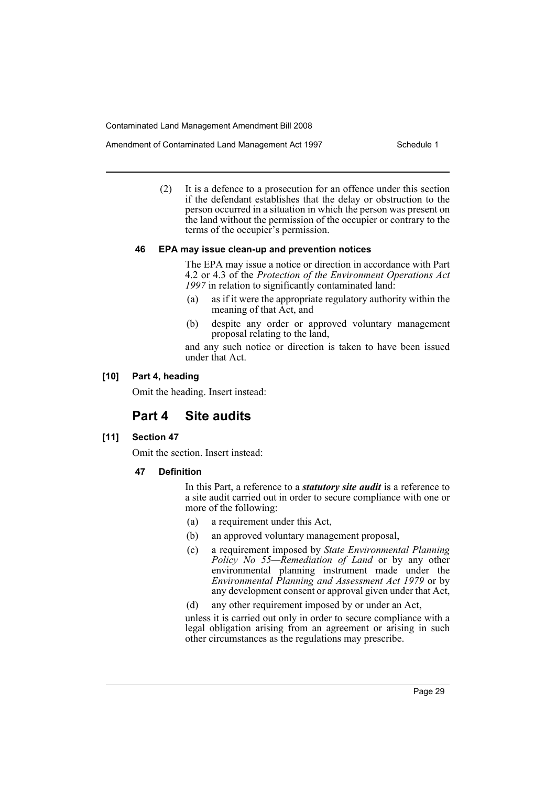Amendment of Contaminated Land Management Act 1997 Schedule 1

(2) It is a defence to a prosecution for an offence under this section if the defendant establishes that the delay or obstruction to the person occurred in a situation in which the person was present on the land without the permission of the occupier or contrary to the terms of the occupier's permission.

#### **46 EPA may issue clean-up and prevention notices**

The EPA may issue a notice or direction in accordance with Part 4.2 or 4.3 of the *Protection of the Environment Operations Act 1997* in relation to significantly contaminated land:

- (a) as if it were the appropriate regulatory authority within the meaning of that Act, and
- (b) despite any order or approved voluntary management proposal relating to the land,

and any such notice or direction is taken to have been issued under that Act.

## **[10] Part 4, heading**

Omit the heading. Insert instead:

# **Part 4 Site audits**

#### **[11] Section 47**

Omit the section. Insert instead:

**47 Definition**

In this Part, a reference to a *statutory site audit* is a reference to a site audit carried out in order to secure compliance with one or more of the following:

- (a) a requirement under this Act,
- (b) an approved voluntary management proposal,
- (c) a requirement imposed by *State Environmental Planning Policy No 55—Remediation of Land* or by any other environmental planning instrument made under the *Environmental Planning and Assessment Act 1979* or by any development consent or approval given under that Act,
- (d) any other requirement imposed by or under an Act,

unless it is carried out only in order to secure compliance with a legal obligation arising from an agreement or arising in such other circumstances as the regulations may prescribe.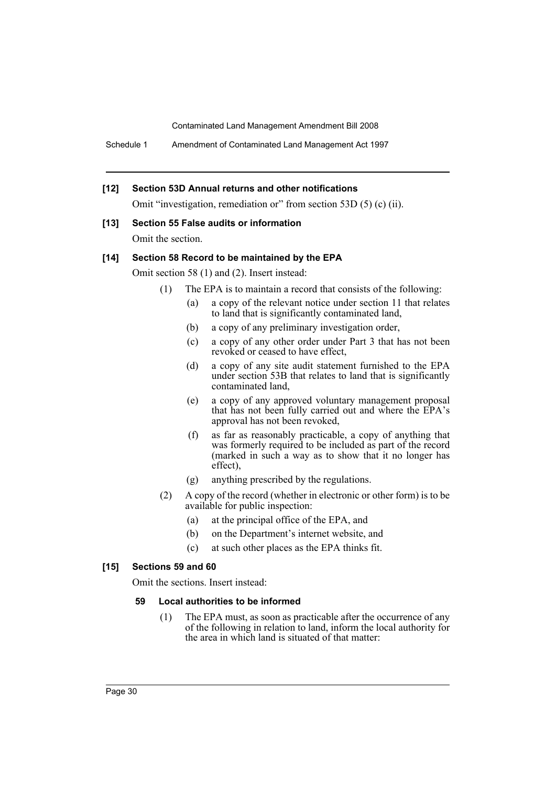Schedule 1 Amendment of Contaminated Land Management Act 1997

## **[12] Section 53D Annual returns and other notifications**

Omit "investigation, remediation or" from section 53D (5) (c) (ii).

## **[13] Section 55 False audits or information**

Omit the section.

## **[14] Section 58 Record to be maintained by the EPA**

Omit section 58 (1) and (2). Insert instead:

- (1) The EPA is to maintain a record that consists of the following:
	- (a) a copy of the relevant notice under section 11 that relates to land that is significantly contaminated land,
	- (b) a copy of any preliminary investigation order,
	- (c) a copy of any other order under Part 3 that has not been revoked or ceased to have effect,
	- (d) a copy of any site audit statement furnished to the EPA under section 53B that relates to land that is significantly contaminated land,
	- (e) a copy of any approved voluntary management proposal that has not been fully carried out and where the EPA's approval has not been revoked,
	- (f) as far as reasonably practicable, a copy of anything that was formerly required to be included as part of the record (marked in such a way as to show that it no longer has effect),
	- (g) anything prescribed by the regulations.
- (2) A copy of the record (whether in electronic or other form) is to be available for public inspection:
	- (a) at the principal office of the EPA, and
	- (b) on the Department's internet website, and
	- (c) at such other places as the EPA thinks fit.

## **[15] Sections 59 and 60**

Omit the sections. Insert instead:

## **59 Local authorities to be informed**

(1) The EPA must, as soon as practicable after the occurrence of any of the following in relation to land, inform the local authority for the area in which land is situated of that matter: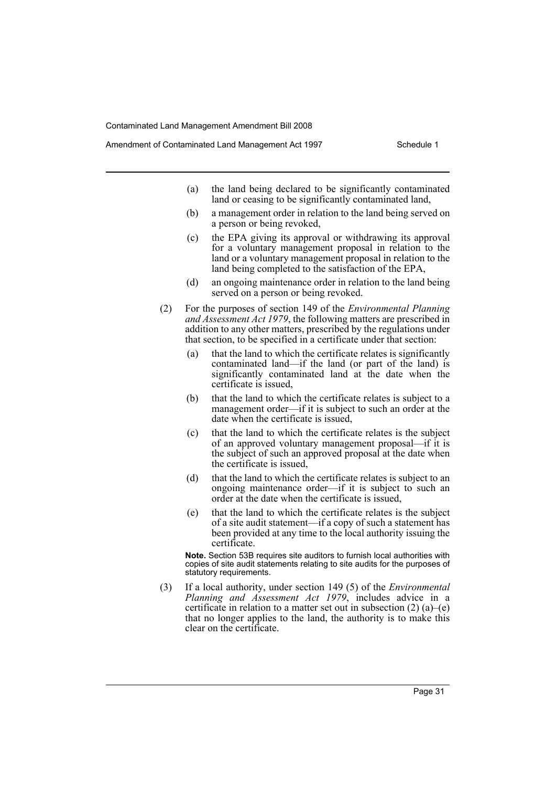- (a) the land being declared to be significantly contaminated land or ceasing to be significantly contaminated land,
- (b) a management order in relation to the land being served on a person or being revoked,
- (c) the EPA giving its approval or withdrawing its approval for a voluntary management proposal in relation to the land or a voluntary management proposal in relation to the land being completed to the satisfaction of the EPA,
- (d) an ongoing maintenance order in relation to the land being served on a person or being revoked.
- (2) For the purposes of section 149 of the *Environmental Planning and Assessment Act 1979*, the following matters are prescribed in addition to any other matters, prescribed by the regulations under that section, to be specified in a certificate under that section:
	- (a) that the land to which the certificate relates is significantly contaminated land—if the land (or part of the land) is significantly contaminated land at the date when the certificate is issued,
	- (b) that the land to which the certificate relates is subject to a management order—if it is subject to such an order at the date when the certificate is issued,
	- (c) that the land to which the certificate relates is the subject of an approved voluntary management proposal—if it is the subject of such an approved proposal at the date when the certificate is issued,
	- (d) that the land to which the certificate relates is subject to an ongoing maintenance order—if it is subject to such an order at the date when the certificate is issued,
	- (e) that the land to which the certificate relates is the subject of a site audit statement—if a copy of such a statement has been provided at any time to the local authority issuing the certificate.

**Note.** Section 53B requires site auditors to furnish local authorities with copies of site audit statements relating to site audits for the purposes of statutory requirements.

(3) If a local authority, under section 149 (5) of the *Environmental Planning and Assessment Act 1979*, includes advice in a certificate in relation to a matter set out in subsection  $(2)$  (a)–(e) that no longer applies to the land, the authority is to make this clear on the certificate.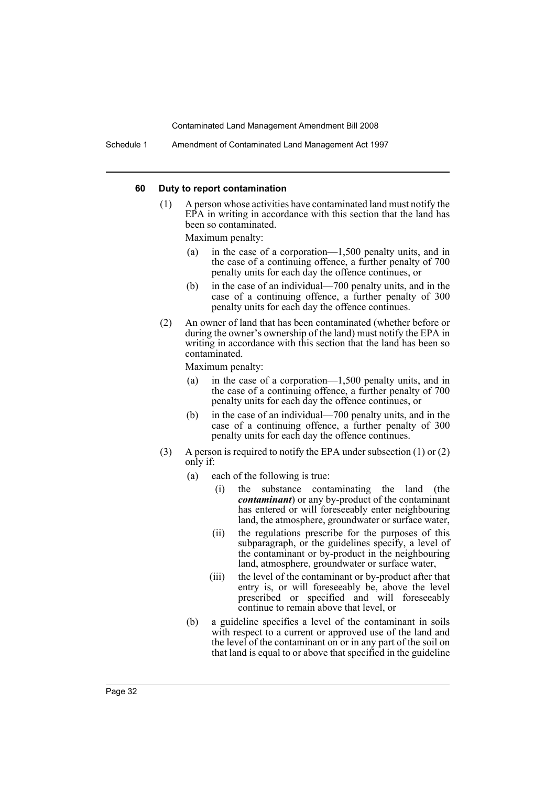Schedule 1 Amendment of Contaminated Land Management Act 1997

#### **60 Duty to report contamination**

(1) A person whose activities have contaminated land must notify the EPA in writing in accordance with this section that the land has been so contaminated.

Maximum penalty:

- (a) in the case of a corporation—1,500 penalty units, and in the case of a continuing offence, a further penalty of 700 penalty units for each day the offence continues, or
- (b) in the case of an individual—700 penalty units, and in the case of a continuing offence, a further penalty of 300 penalty units for each day the offence continues.
- (2) An owner of land that has been contaminated (whether before or during the owner's ownership of the land) must notify the EPA in writing in accordance with this section that the land has been so contaminated.

Maximum penalty:

- (a) in the case of a corporation—1,500 penalty units, and in the case of a continuing offence, a further penalty of 700 penalty units for each day the offence continues, or
- (b) in the case of an individual—700 penalty units, and in the case of a continuing offence, a further penalty of 300 penalty units for each day the offence continues.
- (3) A person is required to notify the EPA under subsection (1) or (2) only if:
	- (a) each of the following is true:
		- (i) the substance contaminating the land (the *contaminant*) or any by-product of the contaminant has entered or will foreseeably enter neighbouring land, the atmosphere, groundwater or surface water,
		- (ii) the regulations prescribe for the purposes of this subparagraph, or the guidelines specify, a level of the contaminant or by-product in the neighbouring land, atmosphere, groundwater or surface water,
		- (iii) the level of the contaminant or by-product after that entry is, or will foreseeably be, above the level prescribed or specified and will foreseeably continue to remain above that level, or
	- (b) a guideline specifies a level of the contaminant in soils with respect to a current or approved use of the land and the level of the contaminant on or in any part of the soil on that land is equal to or above that specified in the guideline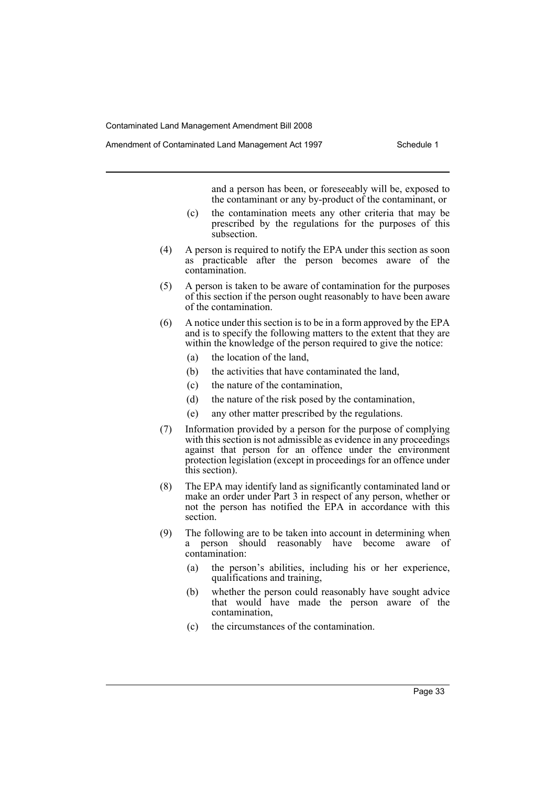and a person has been, or foreseeably will be, exposed to the contaminant or any by-product of the contaminant, or

- (c) the contamination meets any other criteria that may be prescribed by the regulations for the purposes of this subsection.
- (4) A person is required to notify the EPA under this section as soon as practicable after the person becomes aware of the contamination.
- (5) A person is taken to be aware of contamination for the purposes of this section if the person ought reasonably to have been aware of the contamination.
- (6) A notice under this section is to be in a form approved by the EPA and is to specify the following matters to the extent that they are within the knowledge of the person required to give the notice:
	- (a) the location of the land,
	- (b) the activities that have contaminated the land,
	- (c) the nature of the contamination,
	- (d) the nature of the risk posed by the contamination,
	- (e) any other matter prescribed by the regulations.
- (7) Information provided by a person for the purpose of complying with this section is not admissible as evidence in any proceedings against that person for an offence under the environment protection legislation (except in proceedings for an offence under this section).
- (8) The EPA may identify land as significantly contaminated land or make an order under Part 3 in respect of any person, whether or not the person has notified the EPA in accordance with this section.
- (9) The following are to be taken into account in determining when a person should reasonably have become aware of contamination:
	- (a) the person's abilities, including his or her experience, qualifications and training,
	- (b) whether the person could reasonably have sought advice that would have made the person aware of the contamination,
	- (c) the circumstances of the contamination.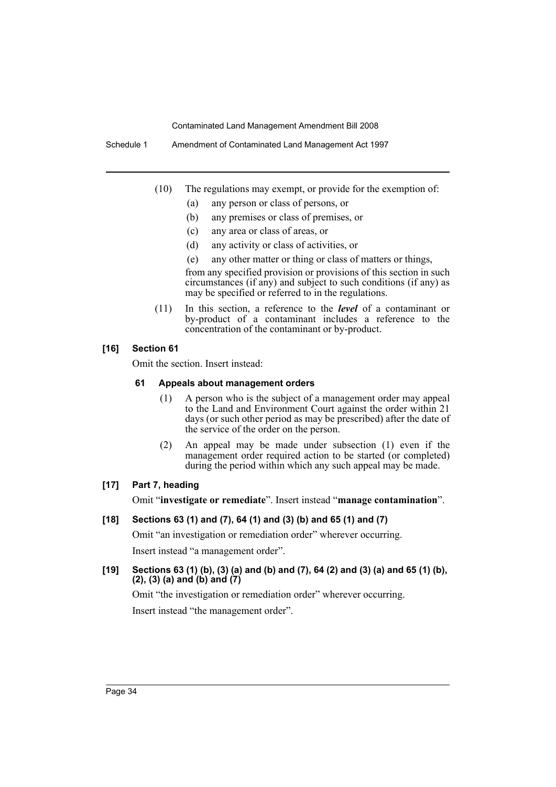Schedule 1 Amendment of Contaminated Land Management Act 1997

- (10) The regulations may exempt, or provide for the exemption of:
	- (a) any person or class of persons, or
	- (b) any premises or class of premises, or
	- (c) any area or class of areas, or
	- (d) any activity or class of activities, or
	- (e) any other matter or thing or class of matters or things,

from any specified provision or provisions of this section in such circumstances (if any) and subject to such conditions (if any) as may be specified or referred to in the regulations.

(11) In this section, a reference to the *level* of a contaminant or by-product of a contaminant includes a reference to the concentration of the contaminant or by-product.

## **[16] Section 61**

Omit the section. Insert instead:

## **61 Appeals about management orders**

- (1) A person who is the subject of a management order may appeal to the Land and Environment Court against the order within 21 days (or such other period as may be prescribed) after the date of the service of the order on the person.
- (2) An appeal may be made under subsection (1) even if the management order required action to be started (or completed) during the period within which any such appeal may be made.

## **[17] Part 7, heading**

Omit "**investigate or remediate**". Insert instead "**manage contamination**".

## **[18] Sections 63 (1) and (7), 64 (1) and (3) (b) and 65 (1) and (7)**

Omit "an investigation or remediation order" wherever occurring. Insert instead "a management order".

## **[19] Sections 63 (1) (b), (3) (a) and (b) and (7), 64 (2) and (3) (a) and 65 (1) (b), (2), (3) (a) and (b) and (7)**

Omit "the investigation or remediation order" wherever occurring. Insert instead "the management order".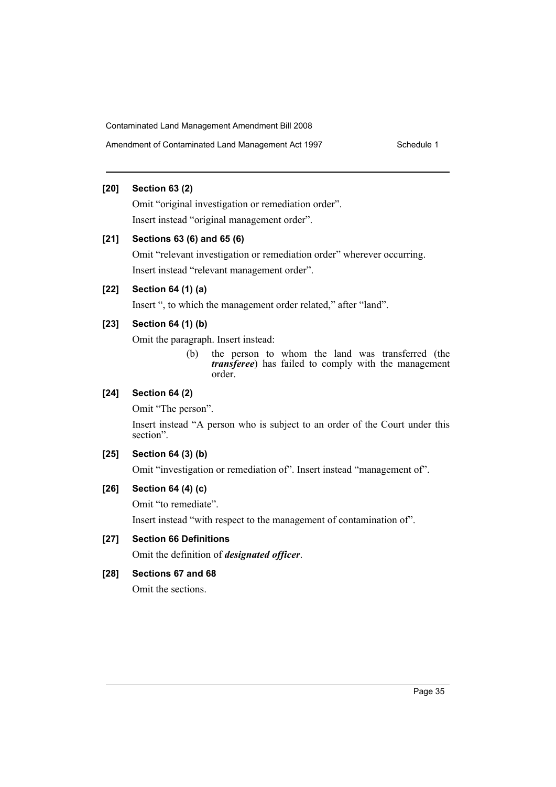## **[20] Section 63 (2)**

Omit "original investigation or remediation order". Insert instead "original management order".

## **[21] Sections 63 (6) and 65 (6)**

Omit "relevant investigation or remediation order" wherever occurring. Insert instead "relevant management order".

## **[22] Section 64 (1) (a)**

Insert ", to which the management order related," after "land".

## **[23] Section 64 (1) (b)**

Omit the paragraph. Insert instead:

(b) the person to whom the land was transferred (the *transferee*) has failed to comply with the management order.

## **[24] Section 64 (2)**

Omit "The person".

Insert instead "A person who is subject to an order of the Court under this section".

## **[25] Section 64 (3) (b)**

Omit "investigation or remediation of". Insert instead "management of".

## **[26] Section 64 (4) (c)**

Omit "to remediate".

Insert instead "with respect to the management of contamination of".

## **[27] Section 66 Definitions**

Omit the definition of *designated officer*.

## **[28] Sections 67 and 68**

Omit the sections.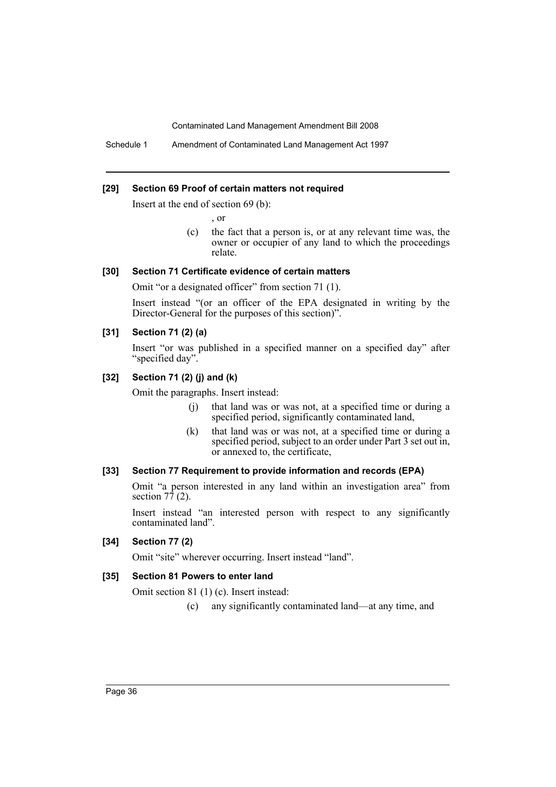Schedule 1 Amendment of Contaminated Land Management Act 1997

#### **[29] Section 69 Proof of certain matters not required**

Insert at the end of section 69 (b):

, or

(c) the fact that a person is, or at any relevant time was, the owner or occupier of any land to which the proceedings relate.

## **[30] Section 71 Certificate evidence of certain matters**

Omit "or a designated officer" from section 71 (1).

Insert instead "(or an officer of the EPA designated in writing by the Director-General for the purposes of this section)".

## **[31] Section 71 (2) (a)**

Insert "or was published in a specified manner on a specified day" after "specified day".

## **[32] Section 71 (2) (j) and (k)**

Omit the paragraphs. Insert instead:

- (j) that land was or was not, at a specified time or during a specified period, significantly contaminated land,
- (k) that land was or was not, at a specified time or during a specified period, subject to an order under Part 3 set out in, or annexed to, the certificate,

## **[33] Section 77 Requirement to provide information and records (EPA)**

Omit "a person interested in any land within an investigation area" from section  $7\overline{7}$  (2).

Insert instead "an interested person with respect to any significantly contaminated land".

## **[34] Section 77 (2)**

Omit "site" wherever occurring. Insert instead "land".

#### **[35] Section 81 Powers to enter land**

Omit section 81 (1) (c). Insert instead:

(c) any significantly contaminated land—at any time, and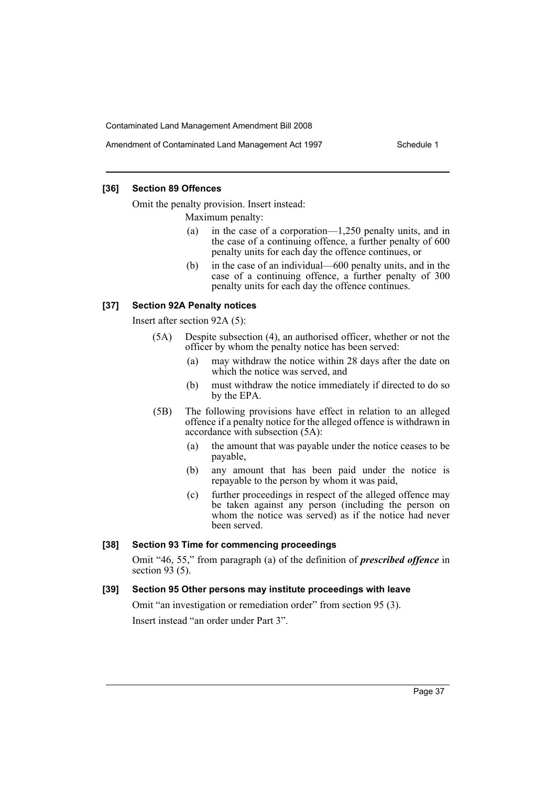#### **[36] Section 89 Offences**

Omit the penalty provision. Insert instead:

Maximum penalty:

- (a) in the case of a corporation—1,250 penalty units, and in the case of a continuing offence, a further penalty of 600 penalty units for each day the offence continues, or
- (b) in the case of an individual—600 penalty units, and in the case of a continuing offence, a further penalty of 300 penalty units for each day the offence continues.

#### **[37] Section 92A Penalty notices**

Insert after section 92A (5):

- (5A) Despite subsection (4), an authorised officer, whether or not the officer by whom the penalty notice has been served:
	- (a) may withdraw the notice within 28 days after the date on which the notice was served, and
	- (b) must withdraw the notice immediately if directed to do so by the EPA.
- (5B) The following provisions have effect in relation to an alleged offence if a penalty notice for the alleged offence is withdrawn in accordance with subsection (5A):
	- (a) the amount that was payable under the notice ceases to be payable,
	- (b) any amount that has been paid under the notice is repayable to the person by whom it was paid,
	- (c) further proceedings in respect of the alleged offence may be taken against any person (including the person on whom the notice was served) as if the notice had never been served.

#### **[38] Section 93 Time for commencing proceedings**

Omit "46, 55," from paragraph (a) of the definition of *prescribed offence* in section  $93(5)$ .

## **[39] Section 95 Other persons may institute proceedings with leave**

Omit "an investigation or remediation order" from section 95 (3). Insert instead "an order under Part 3".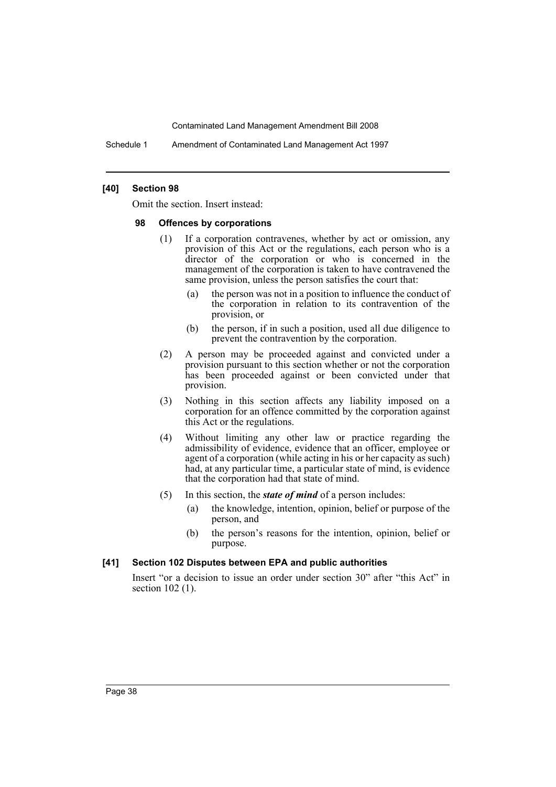Schedule 1 Amendment of Contaminated Land Management Act 1997

#### **[40] Section 98**

Omit the section. Insert instead:

#### **98 Offences by corporations**

- (1) If a corporation contravenes, whether by act or omission, any provision of this Act or the regulations, each person who is a director of the corporation or who is concerned in the management of the corporation is taken to have contravened the same provision, unless the person satisfies the court that:
	- (a) the person was not in a position to influence the conduct of the corporation in relation to its contravention of the provision, or
	- (b) the person, if in such a position, used all due diligence to prevent the contravention by the corporation.
- (2) A person may be proceeded against and convicted under a provision pursuant to this section whether or not the corporation has been proceeded against or been convicted under that provision.
- (3) Nothing in this section affects any liability imposed on a corporation for an offence committed by the corporation against this Act or the regulations.
- (4) Without limiting any other law or practice regarding the admissibility of evidence, evidence that an officer, employee or agent of a corporation (while acting in his or her capacity as such) had, at any particular time, a particular state of mind, is evidence that the corporation had that state of mind.
- (5) In this section, the *state of mind* of a person includes:
	- (a) the knowledge, intention, opinion, belief or purpose of the person, and
	- (b) the person's reasons for the intention, opinion, belief or purpose.

#### **[41] Section 102 Disputes between EPA and public authorities**

Insert "or a decision to issue an order under section 30" after "this Act" in section 102 (1).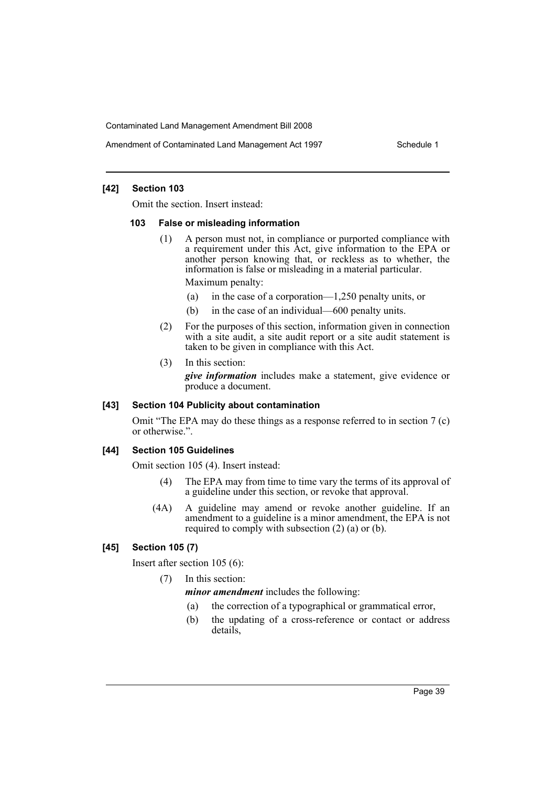Amendment of Contaminated Land Management Act 1997 Schedule 1

#### **[42] Section 103**

Omit the section. Insert instead:

#### **103 False or misleading information**

- (1) A person must not, in compliance or purported compliance with a requirement under this Act, give information to the EPA or another person knowing that, or reckless as to whether, the information is false or misleading in a material particular. Maximum penalty:
	- (a) in the case of a corporation—1,250 penalty units, or
	- (b) in the case of an individual—600 penalty units.
- (2) For the purposes of this section, information given in connection with a site audit, a site audit report or a site audit statement is taken to be given in compliance with this Act.
- (3) In this section:

*give information* includes make a statement, give evidence or produce a document.

#### **[43] Section 104 Publicity about contamination**

Omit "The EPA may do these things as a response referred to in section 7 (c) or otherwise.".

## **[44] Section 105 Guidelines**

Omit section 105 (4). Insert instead:

- (4) The EPA may from time to time vary the terms of its approval of a guideline under this section, or revoke that approval.
- (4A) A guideline may amend or revoke another guideline. If an amendment to a guideline is a minor amendment, the EPA is not required to comply with subsection (2) (a) or (b).

#### **[45] Section 105 (7)**

Insert after section 105 (6):

(7) In this section:

*minor amendment* includes the following:

- (a) the correction of a typographical or grammatical error,
- (b) the updating of a cross-reference or contact or address details,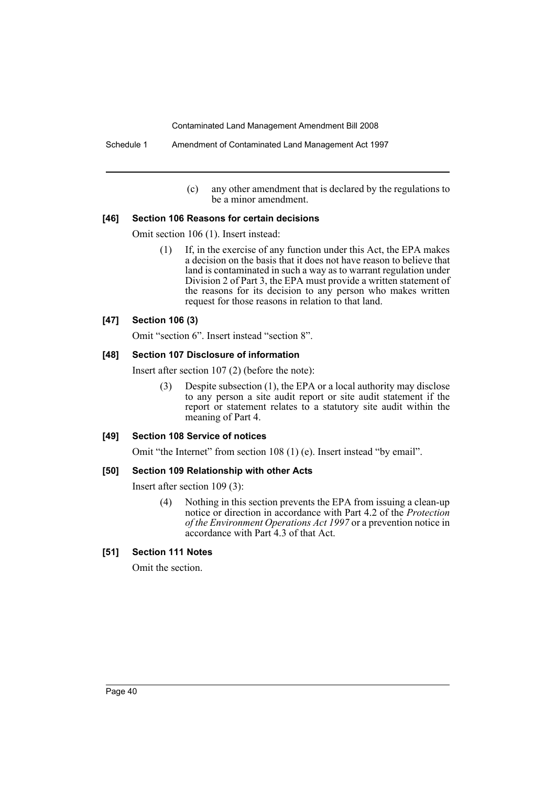(c) any other amendment that is declared by the regulations to be a minor amendment.

#### **[46] Section 106 Reasons for certain decisions**

Omit section 106 (1). Insert instead:

(1) If, in the exercise of any function under this Act, the EPA makes a decision on the basis that it does not have reason to believe that land is contaminated in such a way as to warrant regulation under Division 2 of Part 3, the EPA must provide a written statement of the reasons for its decision to any person who makes written request for those reasons in relation to that land.

#### **[47] Section 106 (3)**

Omit "section 6". Insert instead "section 8".

#### **[48] Section 107 Disclosure of information**

Insert after section 107 (2) (before the note):

(3) Despite subsection (1), the EPA or a local authority may disclose to any person a site audit report or site audit statement if the report or statement relates to a statutory site audit within the meaning of Part 4.

#### **[49] Section 108 Service of notices**

Omit "the Internet" from section 108 (1) (e). Insert instead "by email".

#### **[50] Section 109 Relationship with other Acts**

Insert after section 109 (3):

(4) Nothing in this section prevents the EPA from issuing a clean-up notice or direction in accordance with Part 4.2 of the *Protection of the Environment Operations Act 1997* or a prevention notice in accordance with Part 4.3 of that Act.

#### **[51] Section 111 Notes**

Omit the section.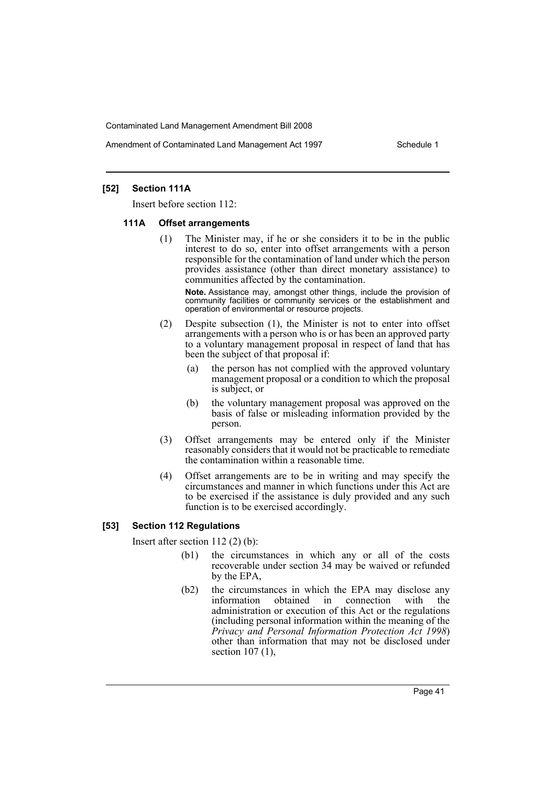Amendment of Contaminated Land Management Act 1997 Schedule 1

## **[52] Section 111A**

Insert before section 112:

#### **111A Offset arrangements**

(1) The Minister may, if he or she considers it to be in the public interest to do so, enter into offset arrangements with a person responsible for the contamination of land under which the person provides assistance (other than direct monetary assistance) to communities affected by the contamination.

**Note.** Assistance may, amongst other things, include the provision of community facilities or community services or the establishment and operation of environmental or resource projects.

- (2) Despite subsection (1), the Minister is not to enter into offset arrangements with a person who is or has been an approved party to a voluntary management proposal in respect of land that has been the subject of that proposal if:
	- (a) the person has not complied with the approved voluntary management proposal or a condition to which the proposal is subject, or
	- (b) the voluntary management proposal was approved on the basis of false or misleading information provided by the person.
- (3) Offset arrangements may be entered only if the Minister reasonably considers that it would not be practicable to remediate the contamination within a reasonable time.
- (4) Offset arrangements are to be in writing and may specify the circumstances and manner in which functions under this Act are to be exercised if the assistance is duly provided and any such function is to be exercised accordingly.

## **[53] Section 112 Regulations**

Insert after section 112 (2) (b):

- (b1) the circumstances in which any or all of the costs recoverable under section 34 may be waived or refunded by the EPA,
- (b2) the circumstances in which the EPA may disclose any information obtained in connection with the administration or execution of this Act or the regulations (including personal information within the meaning of the *Privacy and Personal Information Protection Act 1998*) other than information that may not be disclosed under section 107 (1),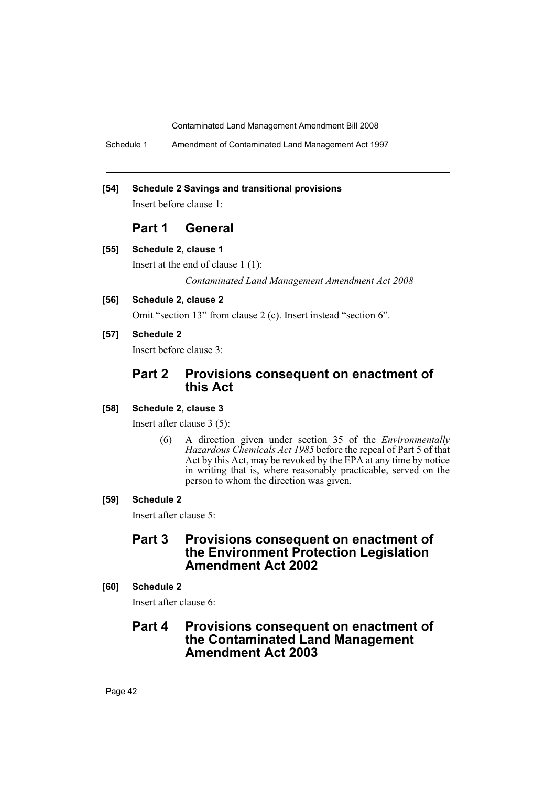Schedule 1 Amendment of Contaminated Land Management Act 1997

## **[54] Schedule 2 Savings and transitional provisions**

Insert before clause 1:

## **Part 1 General**

**[55] Schedule 2, clause 1**

Insert at the end of clause 1 (1):

*Contaminated Land Management Amendment Act 2008*

## **[56] Schedule 2, clause 2**

Omit "section 13" from clause 2 (c). Insert instead "section 6".

**[57] Schedule 2**

Insert before clause 3:

# **Part 2 Provisions consequent on enactment of this Act**

## **[58] Schedule 2, clause 3**

Insert after clause 3 (5):

(6) A direction given under section 35 of the *Environmentally Hazardous Chemicals Act 1985* before the repeal of Part 5 of that Act by this Act, may be revoked by the EPA at any time by notice in writing that is, where reasonably practicable, served on the person to whom the direction was given.

## **[59] Schedule 2**

Insert after clause 5:

## **Part 3 Provisions consequent on enactment of the Environment Protection Legislation Amendment Act 2002**

# **[60] Schedule 2**

Insert after clause 6:

# **Part 4 Provisions consequent on enactment of the Contaminated Land Management Amendment Act 2003**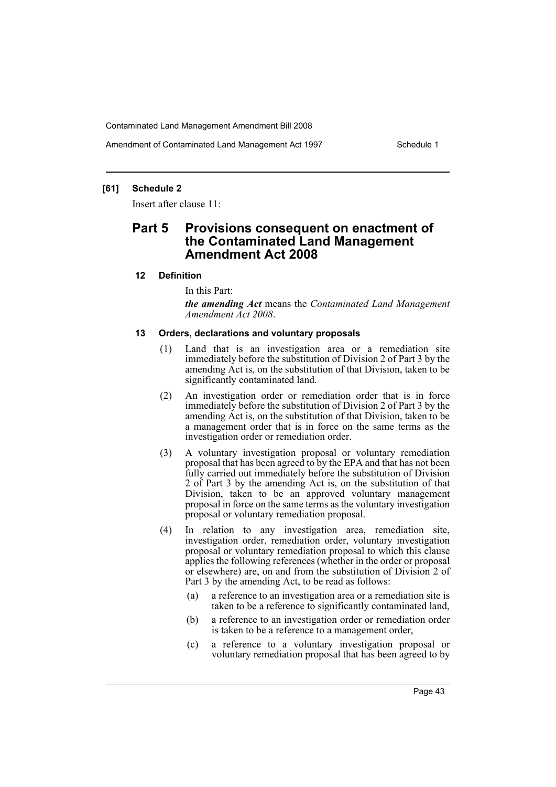Amendment of Contaminated Land Management Act 1997 Schedule 1

## **[61] Schedule 2**

Insert after clause 11:

# **Part 5 Provisions consequent on enactment of the Contaminated Land Management Amendment Act 2008**

## **12 Definition**

In this Part:

*the amending Act* means the *Contaminated Land Management Amendment Act 2008*.

#### **13 Orders, declarations and voluntary proposals**

- (1) Land that is an investigation area or a remediation site immediately before the substitution of Division 2 of Part 3 by the amending Act is, on the substitution of that Division, taken to be significantly contaminated land.
- (2) An investigation order or remediation order that is in force immediately before the substitution of Division 2 of Part 3 by the amending Act is, on the substitution of that Division, taken to be a management order that is in force on the same terms as the investigation order or remediation order.
- (3) A voluntary investigation proposal or voluntary remediation proposal that has been agreed to by the EPA and that has not been fully carried out immediately before the substitution of Division 2 of Part 3 by the amending Act is, on the substitution of that Division, taken to be an approved voluntary management proposal in force on the same terms as the voluntary investigation proposal or voluntary remediation proposal.
- (4) In relation to any investigation area, remediation site, investigation order, remediation order, voluntary investigation proposal or voluntary remediation proposal to which this clause applies the following references (whether in the order or proposal or elsewhere) are, on and from the substitution of Division 2 of Part 3 by the amending Act, to be read as follows:
	- (a) a reference to an investigation area or a remediation site is taken to be a reference to significantly contaminated land,
	- (b) a reference to an investigation order or remediation order is taken to be a reference to a management order,
	- (c) a reference to a voluntary investigation proposal or voluntary remediation proposal that has been agreed to by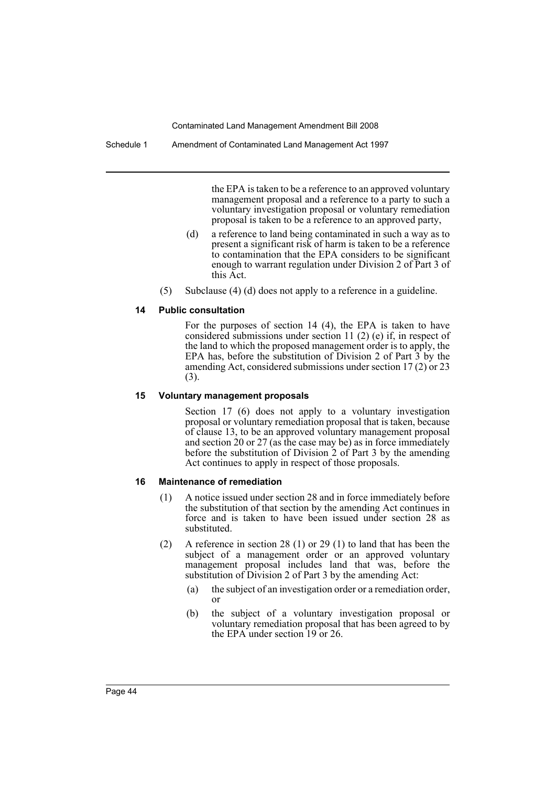the EPA is taken to be a reference to an approved voluntary management proposal and a reference to a party to such a voluntary investigation proposal or voluntary remediation proposal is taken to be a reference to an approved party,

- (d) a reference to land being contaminated in such a way as to present a significant risk of harm is taken to be a reference to contamination that the EPA considers to be significant enough to warrant regulation under Division 2 of Part 3 of this Act.
- (5) Subclause (4) (d) does not apply to a reference in a guideline.

#### **14 Public consultation**

For the purposes of section 14 (4), the EPA is taken to have considered submissions under section 11 (2) (e) if, in respect of the land to which the proposed management order is to apply, the EPA has, before the substitution of Division 2 of Part 3 by the amending Act, considered submissions under section 17 (2) or 23 (3).

#### **15 Voluntary management proposals**

Section 17 (6) does not apply to a voluntary investigation proposal or voluntary remediation proposal that is taken, because of clause 13, to be an approved voluntary management proposal and section 20 or 27 (as the case may be) as in force immediately before the substitution of Division 2 of Part 3 by the amending Act continues to apply in respect of those proposals.

#### **16 Maintenance of remediation**

- (1) A notice issued under section 28 and in force immediately before the substitution of that section by the amending Act continues in force and is taken to have been issued under section 28 as substituted.
- (2) A reference in section 28 (1) or 29 (1) to land that has been the subject of a management order or an approved voluntary management proposal includes land that was, before the substitution of Division 2 of Part 3 by the amending Act:
	- (a) the subject of an investigation order or a remediation order, or
	- (b) the subject of a voluntary investigation proposal or voluntary remediation proposal that has been agreed to by the EPA under section 19 or 26.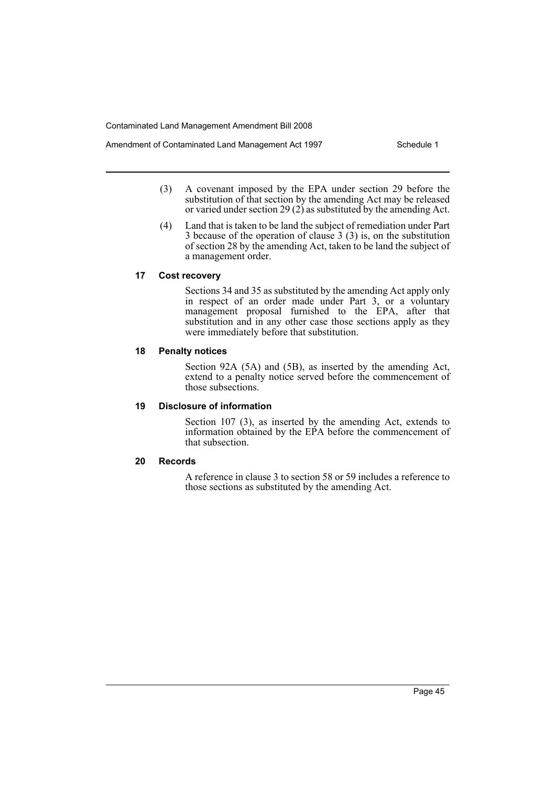- Amendment of Contaminated Land Management Act 1997 Schedule 1
	- (3) A covenant imposed by the EPA under section 29 before the substitution of that section by the amending Act may be released or varied under section 29 (2) as substituted by the amending Act.
	- (4) Land that is taken to be land the subject of remediation under Part 3 because of the operation of clause 3 (3) is, on the substitution of section 28 by the amending Act, taken to be land the subject of a management order.

## **17 Cost recovery**

Sections 34 and 35 as substituted by the amending Act apply only in respect of an order made under Part 3, or a voluntary management proposal furnished to the EPA, after that substitution and in any other case those sections apply as they were immediately before that substitution.

## **18 Penalty notices**

Section 92A (5A) and (5B), as inserted by the amending Act, extend to a penalty notice served before the commencement of those subsections.

## **19 Disclosure of information**

Section 107 (3), as inserted by the amending Act, extends to information obtained by the EPA before the commencement of that subsection.

## **20 Records**

A reference in clause 3 to section 58 or 59 includes a reference to those sections as substituted by the amending Act.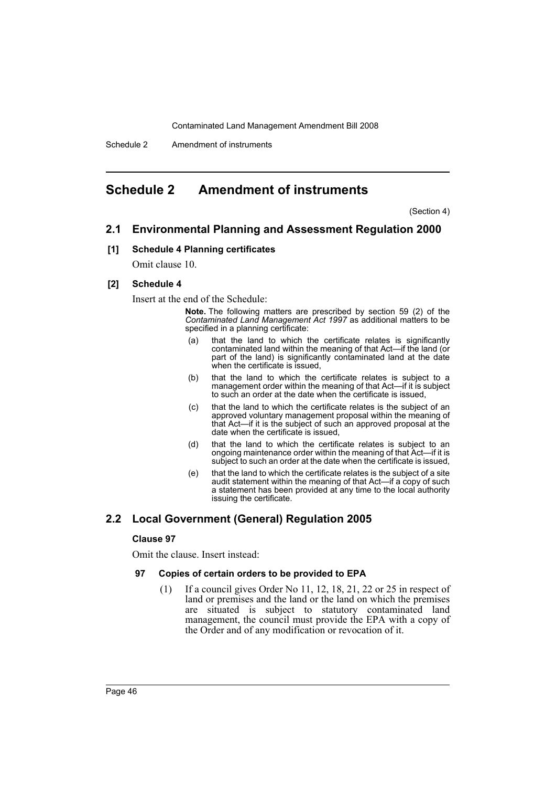# <span id="page-46-0"></span>**Schedule 2 Amendment of instruments**

(Section 4)

## **2.1 Environmental Planning and Assessment Regulation 2000**

#### **[1] Schedule 4 Planning certificates**

Omit clause 10.

#### **[2] Schedule 4**

Insert at the end of the Schedule:

**Note.** The following matters are prescribed by section 59 (2) of the *Contaminated Land Management Act 1997* as additional matters to be specified in a planning certificate:

- (a) that the land to which the certificate relates is significantly contaminated land within the meaning of that Act—if the land (or part of the land) is significantly contaminated land at the date when the certificate is issued,
- (b) that the land to which the certificate relates is subject to a management order within the meaning of that Act—if it is subject to such an order at the date when the certificate is issued,
- (c) that the land to which the certificate relates is the subject of an approved voluntary management proposal within the meaning of that Act—if it is the subject of such an approved proposal at the date when the certificate is issued,
- (d) that the land to which the certificate relates is subject to an ongoing maintenance order within the meaning of that Act—if it is subject to such an order at the date when the certificate is issued,
- (e) that the land to which the certificate relates is the subject of a site audit statement within the meaning of that Act—if a copy of such a statement has been provided at any time to the local authority issuing the certificate.

## **2.2 Local Government (General) Regulation 2005**

#### **Clause 97**

Omit the clause. Insert instead:

#### **97 Copies of certain orders to be provided to EPA**

(1) If a council gives Order No 11, 12, 18, 21, 22 or 25 in respect of land or premises and the land or the land on which the premises are situated is subject to statutory contaminated land management, the council must provide the EPA with a copy of the Order and of any modification or revocation of it.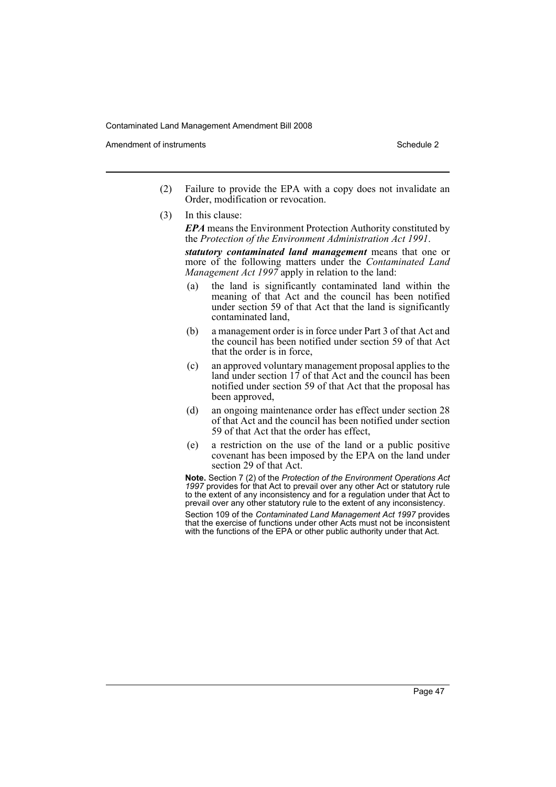Amendment of instruments **Schedule 2** and the 2 and 2 and 2 and 2 and 2 and 2 and 2 and 2 and 2 and 2 and 2 and 2 and 2 and 2 and 2 and 2 and 2 and 2 and 2 and 2 and 2 and 2 and 2 and 2 and 2 and 2 and 2 and 2 and 2 and 2

- (2) Failure to provide the EPA with a copy does not invalidate an Order, modification or revocation.
- (3) In this clause:

*EPA* means the Environment Protection Authority constituted by the *Protection of the Environment Administration Act 1991*.

*statutory contaminated land management* means that one or more of the following matters under the *Contaminated Land Management Act 1997* apply in relation to the land:

- (a) the land is significantly contaminated land within the meaning of that Act and the council has been notified under section 59 of that Act that the land is significantly contaminated land,
- (b) a management order is in force under Part 3 of that Act and the council has been notified under section 59 of that Act that the order is in force,
- (c) an approved voluntary management proposal applies to the land under section 17 of that Act and the council has been notified under section 59 of that Act that the proposal has been approved,
- (d) an ongoing maintenance order has effect under section 28 of that Act and the council has been notified under section 59 of that Act that the order has effect,
- (e) a restriction on the use of the land or a public positive covenant has been imposed by the EPA on the land under section 29 of that Act.

**Note.** Section 7 (2) of the *Protection of the Environment Operations Act 1997* provides for that Act to prevail over any other Act or statutory rule to the extent of any inconsistency and for a regulation under that Act to prevail over any other statutory rule to the extent of any inconsistency.

Section 109 of the *Contaminated Land Management Act 1997* provides that the exercise of functions under other Acts must not be inconsistent with the functions of the EPA or other public authority under that Act.